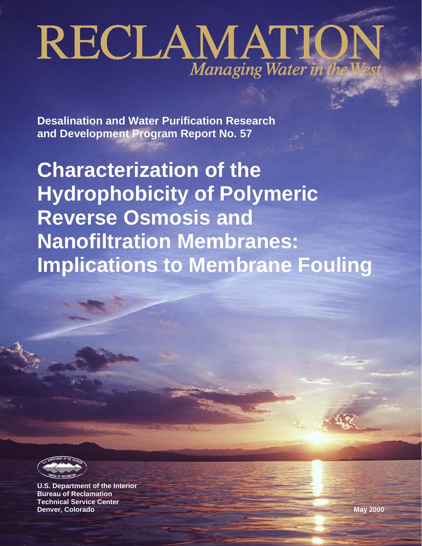# RECLAMATION Managing Water in the V

**Desalination and Water Purification Research and Development Program Report No. 57**

**Characterization of the Hydrophobicity of Polymeric Reverse Osmosis and Nanofiltration Membranes: Implications to Membrane Fouling**



**U.S. Department of the Interior Bureau of Reclamation Technical Service Center Denver, Colorado May 2000**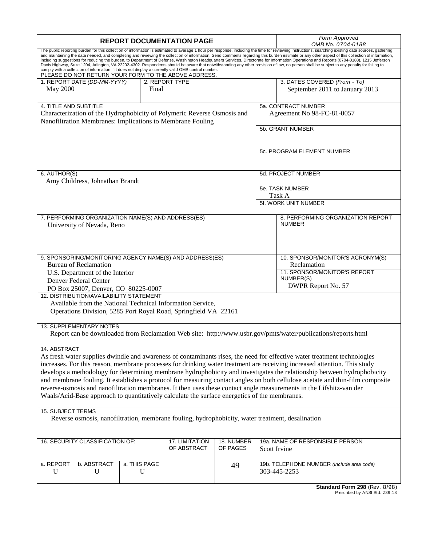| <b>REPORT DOCUMENTATION PAGE</b>                                                                                                                                                                                                                                                                                                                                                                                                                                                                                                                                                                                                                                                                                                                           |                                                                                                                                                                                                                                                                                                                                                                                                                                                                                                                                                                                                                                                                                                                                                                                                                                                                                                                                                                      |  |                        |                                                                                                                                       | Form Approved<br>OMB No. 0704-0188 |  |                                                                                                              |  |
|------------------------------------------------------------------------------------------------------------------------------------------------------------------------------------------------------------------------------------------------------------------------------------------------------------------------------------------------------------------------------------------------------------------------------------------------------------------------------------------------------------------------------------------------------------------------------------------------------------------------------------------------------------------------------------------------------------------------------------------------------------|----------------------------------------------------------------------------------------------------------------------------------------------------------------------------------------------------------------------------------------------------------------------------------------------------------------------------------------------------------------------------------------------------------------------------------------------------------------------------------------------------------------------------------------------------------------------------------------------------------------------------------------------------------------------------------------------------------------------------------------------------------------------------------------------------------------------------------------------------------------------------------------------------------------------------------------------------------------------|--|------------------------|---------------------------------------------------------------------------------------------------------------------------------------|------------------------------------|--|--------------------------------------------------------------------------------------------------------------|--|
|                                                                                                                                                                                                                                                                                                                                                                                                                                                                                                                                                                                                                                                                                                                                                            | The public reporting burden for this collection of information is estimated to average 1 hour per response, including the time for reviewing instructions, searching existing data sources, gathering<br>and maintaining the data needed, and completing and reviewing the collection of information. Send comments regarding this burden estimate or any other aspect of this collection of information,<br>including suggestions for reducing the burden, to Department of Defense, Washington Headquarters Services, Directorate for Information Operations and Reports (0704-0188), 1215 Jefferson<br>Davis Highway, Suite 1204, Arlington, VA 22202-4302. Respondents should be aware that notwithstanding any other provision of law, no person shall be subject to any penalty for failing to<br>comply with a collection of information if it does not display a currently valid OMB control number.<br>PLEASE DO NOT RETURN YOUR FORM TO THE ABOVE ADDRESS. |  |                        |                                                                                                                                       |                                    |  |                                                                                                              |  |
| May 2000                                                                                                                                                                                                                                                                                                                                                                                                                                                                                                                                                                                                                                                                                                                                                   | 1. REPORT DATE (DD-MM-YYYY)                                                                                                                                                                                                                                                                                                                                                                                                                                                                                                                                                                                                                                                                                                                                                                                                                                                                                                                                          |  | Final                  | 2. REPORT TYPE                                                                                                                        |                                    |  | 3. DATES COVERED (From - To)<br>September 2011 to January 2013                                               |  |
| 4. TITLE AND SUBTITLE                                                                                                                                                                                                                                                                                                                                                                                                                                                                                                                                                                                                                                                                                                                                      |                                                                                                                                                                                                                                                                                                                                                                                                                                                                                                                                                                                                                                                                                                                                                                                                                                                                                                                                                                      |  |                        |                                                                                                                                       |                                    |  | 5a. CONTRACT NUMBER                                                                                          |  |
|                                                                                                                                                                                                                                                                                                                                                                                                                                                                                                                                                                                                                                                                                                                                                            |                                                                                                                                                                                                                                                                                                                                                                                                                                                                                                                                                                                                                                                                                                                                                                                                                                                                                                                                                                      |  |                        | Characterization of the Hydrophobicity of Polymeric Reverse Osmosis and<br>Nanofiltration Membranes: Implications to Membrane Fouling |                                    |  | Agreement No 98-FC-81-0057                                                                                   |  |
|                                                                                                                                                                                                                                                                                                                                                                                                                                                                                                                                                                                                                                                                                                                                                            |                                                                                                                                                                                                                                                                                                                                                                                                                                                                                                                                                                                                                                                                                                                                                                                                                                                                                                                                                                      |  |                        |                                                                                                                                       |                                    |  | 5b. GRANT NUMBER                                                                                             |  |
|                                                                                                                                                                                                                                                                                                                                                                                                                                                                                                                                                                                                                                                                                                                                                            |                                                                                                                                                                                                                                                                                                                                                                                                                                                                                                                                                                                                                                                                                                                                                                                                                                                                                                                                                                      |  |                        |                                                                                                                                       |                                    |  | 5c. PROGRAM ELEMENT NUMBER                                                                                   |  |
| 6. AUTHOR(S)                                                                                                                                                                                                                                                                                                                                                                                                                                                                                                                                                                                                                                                                                                                                               |                                                                                                                                                                                                                                                                                                                                                                                                                                                                                                                                                                                                                                                                                                                                                                                                                                                                                                                                                                      |  |                        |                                                                                                                                       |                                    |  | 5d. PROJECT NUMBER                                                                                           |  |
|                                                                                                                                                                                                                                                                                                                                                                                                                                                                                                                                                                                                                                                                                                                                                            | Amy Childress, Johnathan Brandt                                                                                                                                                                                                                                                                                                                                                                                                                                                                                                                                                                                                                                                                                                                                                                                                                                                                                                                                      |  |                        |                                                                                                                                       |                                    |  |                                                                                                              |  |
|                                                                                                                                                                                                                                                                                                                                                                                                                                                                                                                                                                                                                                                                                                                                                            |                                                                                                                                                                                                                                                                                                                                                                                                                                                                                                                                                                                                                                                                                                                                                                                                                                                                                                                                                                      |  |                        |                                                                                                                                       |                                    |  | 5e. TASK NUMBER<br>Task A                                                                                    |  |
|                                                                                                                                                                                                                                                                                                                                                                                                                                                                                                                                                                                                                                                                                                                                                            |                                                                                                                                                                                                                                                                                                                                                                                                                                                                                                                                                                                                                                                                                                                                                                                                                                                                                                                                                                      |  |                        |                                                                                                                                       |                                    |  | 5f. WORK UNIT NUMBER                                                                                         |  |
|                                                                                                                                                                                                                                                                                                                                                                                                                                                                                                                                                                                                                                                                                                                                                            | 7. PERFORMING ORGANIZATION NAME(S) AND ADDRESS(ES)<br>University of Nevada, Reno                                                                                                                                                                                                                                                                                                                                                                                                                                                                                                                                                                                                                                                                                                                                                                                                                                                                                     |  |                        |                                                                                                                                       |                                    |  | 8. PERFORMING ORGANIZATION REPORT<br><b>NUMBER</b>                                                           |  |
|                                                                                                                                                                                                                                                                                                                                                                                                                                                                                                                                                                                                                                                                                                                                                            |                                                                                                                                                                                                                                                                                                                                                                                                                                                                                                                                                                                                                                                                                                                                                                                                                                                                                                                                                                      |  |                        | 9. SPONSORING/MONITORING AGENCY NAME(S) AND ADDRESS(ES)                                                                               |                                    |  | 10. SPONSOR/MONITOR'S ACRONYM(S)                                                                             |  |
|                                                                                                                                                                                                                                                                                                                                                                                                                                                                                                                                                                                                                                                                                                                                                            | <b>Bureau of Reclamation</b>                                                                                                                                                                                                                                                                                                                                                                                                                                                                                                                                                                                                                                                                                                                                                                                                                                                                                                                                         |  |                        |                                                                                                                                       |                                    |  | Reclamation<br>11. SPONSOR/MONITOR'S REPORT                                                                  |  |
|                                                                                                                                                                                                                                                                                                                                                                                                                                                                                                                                                                                                                                                                                                                                                            | U.S. Department of the Interior<br>Denver Federal Center                                                                                                                                                                                                                                                                                                                                                                                                                                                                                                                                                                                                                                                                                                                                                                                                                                                                                                             |  |                        |                                                                                                                                       |                                    |  | NUMBER(S)                                                                                                    |  |
|                                                                                                                                                                                                                                                                                                                                                                                                                                                                                                                                                                                                                                                                                                                                                            | PO Box 25007, Denver, CO 80225-0007<br>12. DISTRIBUTION/AVAILABILITY STATEMENT                                                                                                                                                                                                                                                                                                                                                                                                                                                                                                                                                                                                                                                                                                                                                                                                                                                                                       |  |                        |                                                                                                                                       |                                    |  | DWPR Report No. 57                                                                                           |  |
|                                                                                                                                                                                                                                                                                                                                                                                                                                                                                                                                                                                                                                                                                                                                                            |                                                                                                                                                                                                                                                                                                                                                                                                                                                                                                                                                                                                                                                                                                                                                                                                                                                                                                                                                                      |  |                        | Available from the National Technical Information Service,<br>Operations Division, 5285 Port Royal Road, Springfield VA 22161         |                                    |  |                                                                                                              |  |
|                                                                                                                                                                                                                                                                                                                                                                                                                                                                                                                                                                                                                                                                                                                                                            | <b>13. SUPPLEMENTARY NOTES</b>                                                                                                                                                                                                                                                                                                                                                                                                                                                                                                                                                                                                                                                                                                                                                                                                                                                                                                                                       |  |                        |                                                                                                                                       |                                    |  | Report can be downloaded from Reclamation Web site: http://www.usbr.gov/pmts/water/publications/reports.html |  |
|                                                                                                                                                                                                                                                                                                                                                                                                                                                                                                                                                                                                                                                                                                                                                            |                                                                                                                                                                                                                                                                                                                                                                                                                                                                                                                                                                                                                                                                                                                                                                                                                                                                                                                                                                      |  |                        |                                                                                                                                       |                                    |  |                                                                                                              |  |
| 14. ABSTRACT<br>As fresh water supplies dwindle and awareness of contaminants rises, the need for effective water treatment technologies<br>increases. For this reason, membrane processes for drinking water treatment are receiving increased attention. This study<br>develops a methodology for determining membrane hydrophobicity and investigates the relationship between hydrophobicity<br>and membrane fouling. It establishes a protocol for measuring contact angles on both cellulose acetate and thin-film composite<br>reverse-osmosis and nanofiltration membranes. It then uses these contact angle measurements in the Lifshitz-van der<br>Waals/Acid-Base approach to quantitatively calculate the surface energetics of the membranes. |                                                                                                                                                                                                                                                                                                                                                                                                                                                                                                                                                                                                                                                                                                                                                                                                                                                                                                                                                                      |  |                        |                                                                                                                                       |                                    |  |                                                                                                              |  |
|                                                                                                                                                                                                                                                                                                                                                                                                                                                                                                                                                                                                                                                                                                                                                            |                                                                                                                                                                                                                                                                                                                                                                                                                                                                                                                                                                                                                                                                                                                                                                                                                                                                                                                                                                      |  |                        |                                                                                                                                       |                                    |  |                                                                                                              |  |
| <b>15. SUBJECT TERMS</b><br>Reverse osmosis, nanofiltration, membrane fouling, hydrophobicity, water treatment, desalination                                                                                                                                                                                                                                                                                                                                                                                                                                                                                                                                                                                                                               |                                                                                                                                                                                                                                                                                                                                                                                                                                                                                                                                                                                                                                                                                                                                                                                                                                                                                                                                                                      |  |                        |                                                                                                                                       |                                    |  |                                                                                                              |  |
| 16. SECURITY CLASSIFICATION OF:<br>17. LIMITATION<br>OF ABSTRACT                                                                                                                                                                                                                                                                                                                                                                                                                                                                                                                                                                                                                                                                                           |                                                                                                                                                                                                                                                                                                                                                                                                                                                                                                                                                                                                                                                                                                                                                                                                                                                                                                                                                                      |  | 18. NUMBER<br>OF PAGES | 19a. NAME OF RESPONSIBLE PERSON<br>Scott Irvine                                                                                       |                                    |  |                                                                                                              |  |
| a. THIS PAGE<br>a. REPORT<br>b. ABSTRACT<br>49<br>U<br>U<br>U                                                                                                                                                                                                                                                                                                                                                                                                                                                                                                                                                                                                                                                                                              |                                                                                                                                                                                                                                                                                                                                                                                                                                                                                                                                                                                                                                                                                                                                                                                                                                                                                                                                                                      |  |                        | 19b. TELEPHONE NUMBER (Include area code)<br>303-445-2253                                                                             |                                    |  |                                                                                                              |  |
|                                                                                                                                                                                                                                                                                                                                                                                                                                                                                                                                                                                                                                                                                                                                                            |                                                                                                                                                                                                                                                                                                                                                                                                                                                                                                                                                                                                                                                                                                                                                                                                                                                                                                                                                                      |  |                        |                                                                                                                                       |                                    |  | $Chandra Form 200 (DoU 0/00)$                                                                                |  |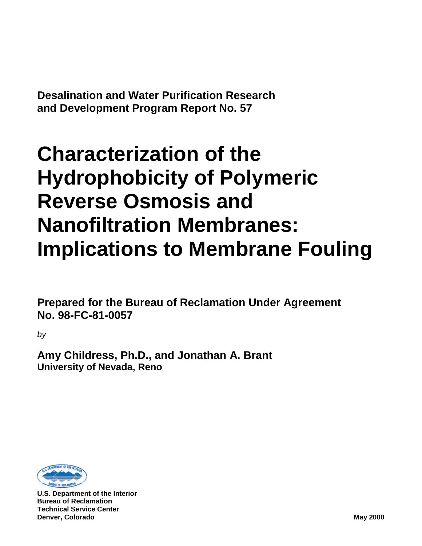**Desalination and Water Purification Research and Development Program Report No. 57**

# **Characterization of the Hydrophobicity of Polymeric Reverse Osmosis and Nanofiltration Membranes: Implications to Membrane Fouling**

**Prepared for the Bureau of Reclamation Under Agreement No. 98-FC-81-0057**

*by*

**Amy Childress, Ph.D., and Jonathan A. Brant University of Nevada, Reno**



**U.S. Department of the Interior Bureau of Reclamation Technical Service Center Denver, Colorado May 2000**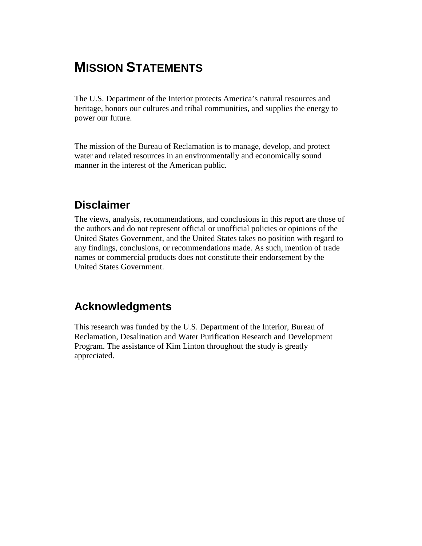# **MISSION STATEMENTS**

The U.S. Department of the Interior protects America's natural resources and heritage, honors our cultures and tribal communities, and supplies the energy to power our future.

The mission of the Bureau of Reclamation is to manage, develop, and protect water and related resources in an environmentally and economically sound manner in the interest of the American public.

### **Disclaimer**

The views, analysis, recommendations, and conclusions in this report are those of the authors and do not represent official or unofficial policies or opinions of the United States Government, and the United States takes no position with regard to any findings, conclusions, or recommendations made. As such, mention of trade names or commercial products does not constitute their endorsement by the United States Government.

### **Acknowledgments**

This research was funded by the U.S. Department of the Interior, Bureau of Reclamation, Desalination and Water Purification Research and Development Program. The assistance of Kim Linton throughout the study is greatly appreciated.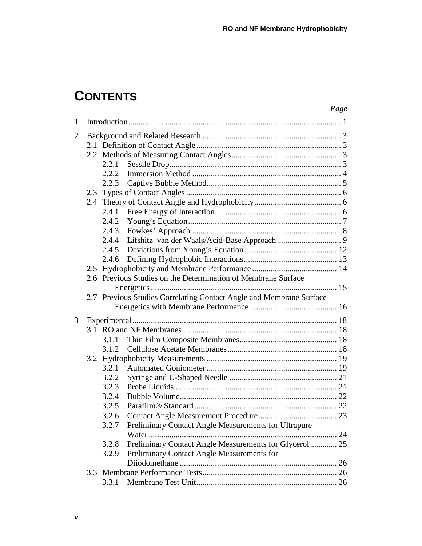# **CONTENTS**

|                |       |                                                                     | Page |
|----------------|-------|---------------------------------------------------------------------|------|
| 1              |       |                                                                     |      |
| $\overline{2}$ |       |                                                                     |      |
|                |       |                                                                     |      |
|                |       |                                                                     |      |
|                | 2.2.1 |                                                                     |      |
|                | 2.2.2 |                                                                     |      |
|                | 2.2.3 |                                                                     |      |
|                |       |                                                                     |      |
|                |       |                                                                     |      |
|                |       |                                                                     |      |
|                |       |                                                                     |      |
|                | 2.4.3 |                                                                     |      |
|                | 2.4.4 |                                                                     |      |
|                | 2.4.5 |                                                                     |      |
|                | 2.4.6 |                                                                     |      |
|                |       |                                                                     |      |
|                |       | 2.6 Previous Studies on the Determination of Membrane Surface       |      |
|                |       |                                                                     |      |
|                |       | 2.7 Previous Studies Correlating Contact Angle and Membrane Surface |      |
|                |       |                                                                     |      |
| 3              |       |                                                                     |      |
|                |       |                                                                     |      |
|                | 3.1.1 |                                                                     |      |
|                | 3.1.2 |                                                                     |      |
|                |       |                                                                     |      |
|                | 3.2.1 |                                                                     |      |
|                | 3.2.2 |                                                                     |      |
|                | 3.2.3 |                                                                     |      |
|                | 3.2.4 |                                                                     |      |
|                | 3.2.5 |                                                                     |      |
|                | 3.2.6 |                                                                     |      |
|                | 3.2.7 | Preliminary Contact Angle Measurements for Ultrapure                |      |
|                |       | Water                                                               |      |
|                | 3.2.8 | Preliminary Contact Angle Measurements for Glycerol 25              |      |
|                | 3.2.9 | Preliminary Contact Angle Measurements for                          |      |
|                |       |                                                                     |      |
|                |       |                                                                     |      |
|                | 3.3.1 |                                                                     |      |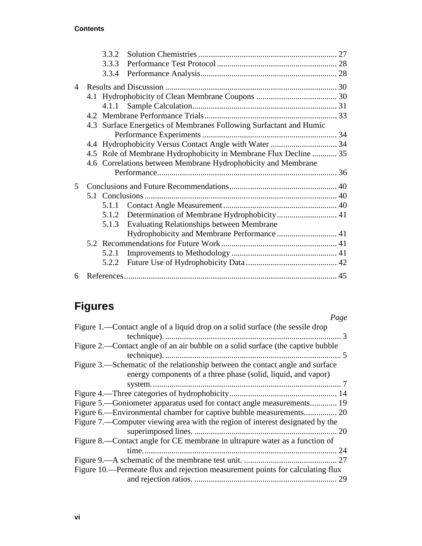#### **Contents**

|                | 3.3.2 |                                                                    |  |
|----------------|-------|--------------------------------------------------------------------|--|
|                | 3.3.3 |                                                                    |  |
|                | 3.3.4 |                                                                    |  |
| $\overline{4}$ |       |                                                                    |  |
|                |       |                                                                    |  |
|                |       |                                                                    |  |
|                |       |                                                                    |  |
|                |       | 4.3 Surface Energetics of Membranes Following Surfactant and Humic |  |
|                |       |                                                                    |  |
|                |       |                                                                    |  |
|                |       | 4.5 Role of Membrane Hydrophobicity in Membrane Flux Decline  35   |  |
|                |       | 4.6 Correlations between Membrane Hydrophobicity and Membrane      |  |
|                |       |                                                                    |  |
| 5              |       |                                                                    |  |
|                |       |                                                                    |  |
|                | 5.1.1 |                                                                    |  |
|                |       |                                                                    |  |
|                | 5.1.3 | <b>Evaluating Relationships between Membrane</b>                   |  |
|                |       |                                                                    |  |
|                |       |                                                                    |  |
|                | 5.2.1 |                                                                    |  |
|                |       |                                                                    |  |
| 6              |       |                                                                    |  |

# **Figures**

| Page                                                                                                                                                   |
|--------------------------------------------------------------------------------------------------------------------------------------------------------|
| Figure 1.—Contact angle of a liquid drop on a solid surface (the sessile drop<br>$\sim$ 3                                                              |
| Figure 2.—Contact angle of an air bubble on a solid surface (the captive bubble                                                                        |
| Figure 3.—Schematic of the relationship between the contact angle and surface<br>energy components of a three phase (solid, liquid, and vapor)         |
|                                                                                                                                                        |
| Figure 5.—Goniometer apparatus used for contact angle measurements 19<br>Figure 7.—Computer viewing area with the region of interest designated by the |
|                                                                                                                                                        |
| Figure 8.—Contact angle for CE membrane in ultrapure water as a function of<br>24                                                                      |
| Figure 10.—Permeate flux and rejection measurement points for calculating flux<br>29                                                                   |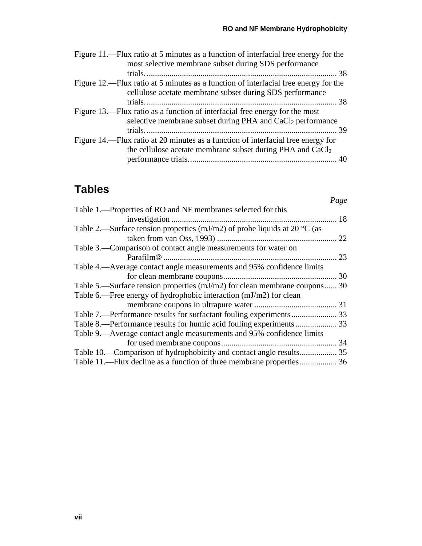| Figure 11.—Flux ratio at 5 minutes as a function of interfacial free energy for the |  |
|-------------------------------------------------------------------------------------|--|
| most selective membrane subset during SDS performance                               |  |
|                                                                                     |  |
| Figure 12.—Flux ratio at 5 minutes as a function of interfacial free energy for the |  |
| cellulose acetate membrane subset during SDS performance                            |  |
|                                                                                     |  |
| Figure 13.—Flux ratio as a function of interfacial free energy for the most         |  |
| selective membrane subset during PHA and CaCl <sub>2</sub> performance              |  |
|                                                                                     |  |
| Figure 14.—Flux ratio at 20 minutes as a function of interfacial free energy for    |  |
| the cellulose acetate membrane subset during PHA and CaCl <sub>2</sub>              |  |
|                                                                                     |  |
|                                                                                     |  |

# **Tables**

|                                                                                     | Page |
|-------------------------------------------------------------------------------------|------|
| Table 1.—Properties of RO and NF membranes selected for this                        |      |
|                                                                                     | 18   |
| Table 2.—Surface tension properties (mJ/m2) of probe liquids at 20 $^{\circ}$ C (as |      |
|                                                                                     | 22   |
| Table 3.—Comparison of contact angle measurements for water on                      |      |
|                                                                                     | 23   |
| Table 4.—Average contact angle measurements and 95% confidence limits               |      |
|                                                                                     |      |
| Table 5.—Surface tension properties $(mJ/m2)$ for clean membrane coupons 30         |      |
| Table 6.—Free energy of hydrophobic interaction (mJ/m2) for clean                   |      |
|                                                                                     |      |
|                                                                                     |      |
|                                                                                     |      |
| Table 9.—Average contact angle measurements and 95% confidence limits               |      |
|                                                                                     |      |
| Table 10.—Comparison of hydrophobicity and contact angle results 35                 |      |
| Table 11.—Flux decline as a function of three membrane properties 36                |      |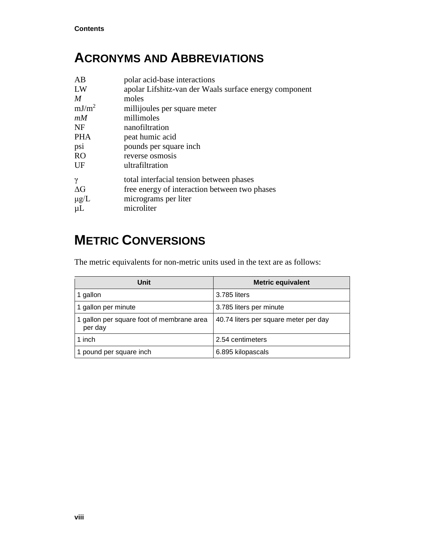# **ACRONYMS AND ABBREVIATIONS**

| AB                | polar acid-base interactions                           |
|-------------------|--------------------------------------------------------|
| LW                | apolar Lifshitz-van der Waals surface energy component |
| $\boldsymbol{M}$  | moles                                                  |
| mJ/m <sup>2</sup> | millijoules per square meter                           |
| mM                | millimoles                                             |
| NF                | nanofiltration                                         |
| <b>PHA</b>        | peat humic acid                                        |
| psi               | pounds per square inch.                                |
| <b>RO</b>         | reverse osmosis                                        |
| UF                | ultrafiltration                                        |
| $\gamma$          | total interfacial tension between phases               |
| $\Delta G$        | free energy of interaction between two phases          |
| $\mu$ g/L         | micrograms per liter                                   |
| $\mu$ L           | microliter                                             |
|                   |                                                        |

# **METRIC CONVERSIONS**

The metric equivalents for non-metric units used in the text are as follows:

| Unit                                                 | <b>Metric equivalent</b>              |
|------------------------------------------------------|---------------------------------------|
| 1 gallon                                             | 3.785 liters                          |
| 1 gallon per minute                                  | 3.785 liters per minute               |
| 1 gallon per square foot of membrane area<br>per day | 40.74 liters per square meter per day |
| 1 inch                                               | 2.54 centimeters                      |
| 1 pound per square inch                              | 6.895 kilopascals                     |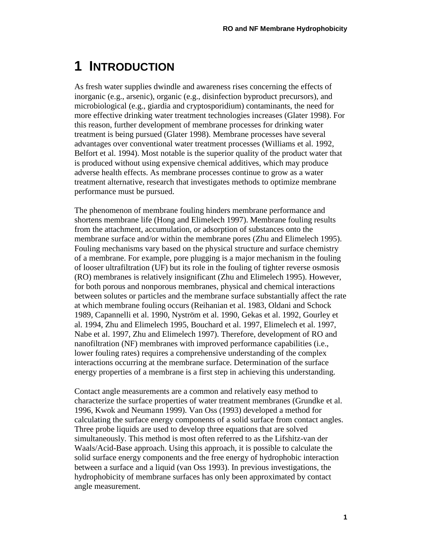# <span id="page-10-0"></span>**1 INTRODUCTION**

As fresh water supplies dwindle and awareness rises concerning the effects of inorganic (e.g., arsenic), organic (e.g., disinfection byproduct precursors), and microbiological (e.g., giardia and cryptosporidium) contaminants, the need for more effective drinking water treatment technologies increases (Glater 1998). For this reason, further development of membrane processes for drinking water treatment is being pursued (Glater 1998). Membrane processes have several advantages over conventional water treatment processes (Williams et al. 1992, Belfort et al. 1994). Most notable is the superior quality of the product water that is produced without using expensive chemical additives, which may produce adverse health effects. As membrane processes continue to grow as a water treatment alternative, research that investigates methods to optimize membrane performance must be pursued.

The phenomenon of membrane fouling hinders membrane performance and shortens membrane life (Hong and Elimelech 1997). Membrane fouling results from the attachment, accumulation, or adsorption of substances onto the membrane surface and/or within the membrane pores (Zhu and Elimelech 1995). Fouling mechanisms vary based on the physical structure and surface chemistry of a membrane. For example, pore plugging is a major mechanism in the fouling of looser ultrafiltration (UF) but its role in the fouling of tighter reverse osmosis (RO) membranes is relatively insignificant (Zhu and Elimelech 1995). However, for both porous and nonporous membranes, physical and chemical interactions between solutes or particles and the membrane surface substantially affect the rate at which membrane fouling occurs (Reihanian et al. 1983, Oldani and Schock 1989, Capannelli et al. 1990, Nyström et al. 1990, Gekas et al. 1992, Gourley et al. 1994, Zhu and Elimelech 1995, Bouchard et al. 1997, Elimelech et al. 1997, Nabe et al. 1997, Zhu and Elimelech 1997). Therefore, development of RO and nanofiltration (NF) membranes with improved performance capabilities (i.e., lower fouling rates) requires a comprehensive understanding of the complex interactions occurring at the membrane surface. Determination of the surface energy properties of a membrane is a first step in achieving this understanding.

Contact angle measurements are a common and relatively easy method to characterize the surface properties of water treatment membranes (Grundke et al. 1996, Kwok and Neumann 1999). Van Oss (1993) developed a method for calculating the surface energy components of a solid surface from contact angles. Three probe liquids are used to develop three equations that are solved simultaneously. This method is most often referred to as the Lifshitz-van der Waals/Acid-Base approach. Using this approach, it is possible to calculate the solid surface energy components and the free energy of hydrophobic interaction between a surface and a liquid (van Oss 1993). In previous investigations, the hydrophobicity of membrane surfaces has only been approximated by contact angle measurement.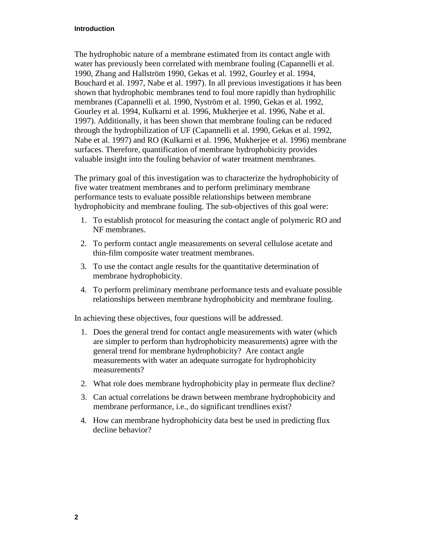#### **Introduction**

The hydrophobic nature of a membrane estimated from its contact angle with water has previously been correlated with membrane fouling (Capannelli et al. 1990, Zhang and Hallström 1990, Gekas et al. 1992, Gourley et al. 1994, Bouchard et al. 1997, Nabe et al. 1997). In all previous investigations it has been shown that hydrophobic membranes tend to foul more rapidly than hydrophilic membranes (Capannelli et al. 1990, Nyström et al. 1990, Gekas et al. 1992, Gourley et al. 1994, Kulkarni et al. 1996, Mukherjee et al. 1996, Nabe et al. 1997). Additionally, it has been shown that membrane fouling can be reduced through the hydrophilization of UF (Capannelli et al. 1990, Gekas et al. 1992, Nabe et al. 1997) and RO (Kulkarni et al. 1996, Mukherjee et al. 1996) membrane surfaces. Therefore, quantification of membrane hydrophobicity provides valuable insight into the fouling behavior of water treatment membranes.

The primary goal of this investigation was to characterize the hydrophobicity of five water treatment membranes and to perform preliminary membrane performance tests to evaluate possible relationships between membrane hydrophobicity and membrane fouling. The sub-objectives of this goal were:

- 1. To establish protocol for measuring the contact angle of polymeric RO and NF membranes.
- 2. To perform contact angle measurements on several cellulose acetate and thin-film composite water treatment membranes.
- 3. To use the contact angle results for the quantitative determination of membrane hydrophobicity.
- 4. To perform preliminary membrane performance tests and evaluate possible relationships between membrane hydrophobicity and membrane fouling.

In achieving these objectives, four questions will be addressed.

- 1. Does the general trend for contact angle measurements with water (which are simpler to perform than hydrophobicity measurements) agree with the general trend for membrane hydrophobicity? Are contact angle measurements with water an adequate surrogate for hydrophobicity measurements?
- 2. What role does membrane hydrophobicity play in permeate flux decline?
- 3. Can actual correlations be drawn between membrane hydrophobicity and membrane performance, i.e., do significant trendlines exist?
- 4. How can membrane hydrophobicity data best be used in predicting flux decline behavior?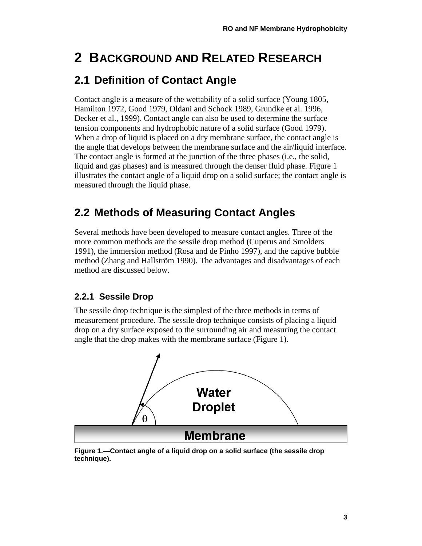# <span id="page-12-0"></span>**2 BACKGROUND AND RELATED RESEARCH**

# <span id="page-12-1"></span>**2.1 Definition of Contact Angle**

Contact angle is a measure of the wettability of a solid surface (Young 1805, Hamilton 1972, Good 1979, Oldani and Schock 1989, Grundke et al. 1996, Decker et al., 1999). Contact angle can also be used to determine the surface tension components and hydrophobic nature of a solid surface (Good 1979). When a drop of liquid is placed on a dry membrane surface, the contact angle is the angle that develops between the membrane surface and the air/liquid interface. The contact angle is formed at the junction of the three phases (i.e., the solid, liquid and gas phases) and is measured through the denser fluid phase. Figure 1 illustrates the contact angle of a liquid drop on a solid surface; the contact angle is measured through the liquid phase.

# <span id="page-12-2"></span>**2.2 Methods of Measuring Contact Angles**

Several methods have been developed to measure contact angles. Three of the more common methods are the sessile drop method (Cuperus and Smolders 1991), the immersion method (Rosa and de Pinho 1997), and the captive bubble method (Zhang and Hallström 1990). The advantages and disadvantages of each method are discussed below.

#### <span id="page-12-3"></span>**2.2.1 Sessile Drop**

The sessile drop technique is the simplest of the three methods in terms of measurement procedure. The sessile drop technique consists of placing a liquid drop on a dry surface exposed to the surrounding air and measuring the contact angle that the drop makes with the membrane surface (Figure 1).



<span id="page-12-4"></span>**Figure 1.—Contact angle of a liquid drop on a solid surface (the sessile drop technique).**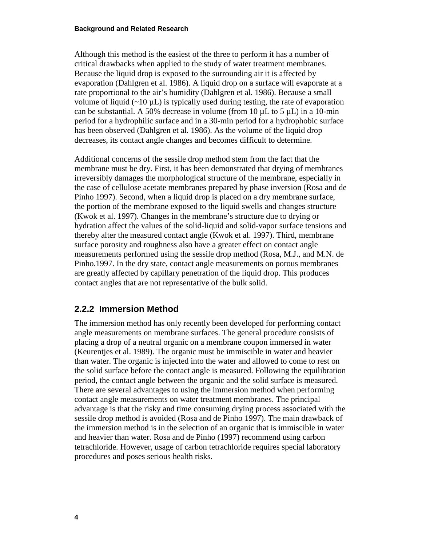#### **Background and Related Research**

Although this method is the easiest of the three to perform it has a number of critical drawbacks when applied to the study of water treatment membranes. Because the liquid drop is exposed to the surrounding air it is affected by evaporation (Dahlgren et al. 1986). A liquid drop on a surface will evaporate at a rate proportional to the air's humidity (Dahlgren et al. 1986). Because a small volume of liquid  $(\sim 10 \,\mu L)$  is typically used during testing, the rate of evaporation can be substantial. A 50% decrease in volume (from 10  $\mu$ L to 5  $\mu$ L) in a 10-min period for a hydrophilic surface and in a 30-min period for a hydrophobic surface has been observed (Dahlgren et al. 1986). As the volume of the liquid drop decreases, its contact angle changes and becomes difficult to determine.

Additional concerns of the sessile drop method stem from the fact that the membrane must be dry. First, it has been demonstrated that drying of membranes irreversibly damages the morphological structure of the membrane, especially in the case of cellulose acetate membranes prepared by phase inversion (Rosa and de Pinho 1997). Second, when a liquid drop is placed on a dry membrane surface, the portion of the membrane exposed to the liquid swells and changes structure (Kwok et al. 1997). Changes in the membrane's structure due to drying or hydration affect the values of the solid-liquid and solid-vapor surface tensions and thereby alter the measured contact angle (Kwok et al. 1997). Third, membrane surface porosity and roughness also have a greater effect on contact angle measurements performed using the sessile drop method (Rosa, M.J., and M.N. de Pinho.1997. In the dry state, contact angle measurements on porous membranes are greatly affected by capillary penetration of the liquid drop. This produces contact angles that are not representative of the bulk solid.

#### <span id="page-13-0"></span>**2.2.2 Immersion Method**

The immersion method has only recently been developed for performing contact angle measurements on membrane surfaces. The general procedure consists of placing a drop of a neutral organic on a membrane coupon immersed in water (Keurentjes et al. 1989). The organic must be immiscible in water and heavier than water. The organic is injected into the water and allowed to come to rest on the solid surface before the contact angle is measured. Following the equilibration period, the contact angle between the organic and the solid surface is measured. There are several advantages to using the immersion method when performing contact angle measurements on water treatment membranes. The principal advantage is that the risky and time consuming drying process associated with the sessile drop method is avoided (Rosa and de Pinho 1997). The main drawback of the immersion method is in the selection of an organic that is immiscible in water and heavier than water. Rosa and de Pinho (1997) recommend using carbon tetrachloride. However, usage of carbon tetrachloride requires special laboratory procedures and poses serious health risks.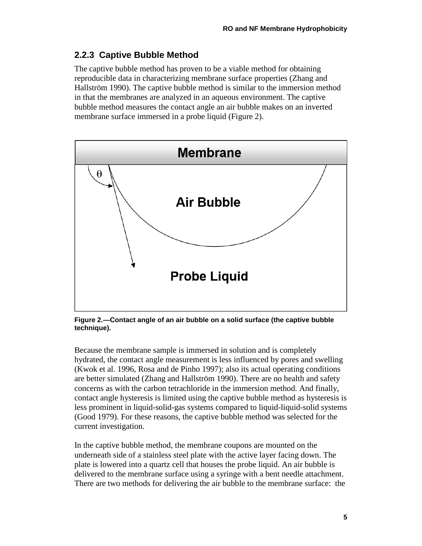#### <span id="page-14-0"></span>**2.2.3 Captive Bubble Method**

The captive bubble method has proven to be a viable method for obtaining reproducible data in characterizing membrane surface properties (Zhang and Hallström 1990). The captive bubble method is similar to the immersion method in that the membranes are analyzed in an aqueous environment. The captive bubble method measures the contact angle an air bubble makes on an inverted membrane surface immersed in a probe liquid (Figure 2).



<span id="page-14-1"></span>**Figure 2.—Contact angle of an air bubble on a solid surface (the captive bubble technique).**

Because the membrane sample is immersed in solution and is completely hydrated, the contact angle measurement is less influenced by pores and swelling (Kwok et al. 1996, Rosa and de Pinho 1997); also its actual operating conditions are better simulated (Zhang and Hallström 1990). There are no health and safety concerns as with the carbon tetrachloride in the immersion method. And finally, contact angle hysteresis is limited using the captive bubble method as hysteresis is less prominent in liquid-solid-gas systems compared to liquid-liquid-solid systems (Good 1979). For these reasons, the captive bubble method was selected for the current investigation.

In the captive bubble method, the membrane coupons are mounted on the underneath side of a stainless steel plate with the active layer facing down. The plate is lowered into a quartz cell that houses the probe liquid. An air bubble is delivered to the membrane surface using a syringe with a bent needle attachment. There are two methods for delivering the air bubble to the membrane surface: the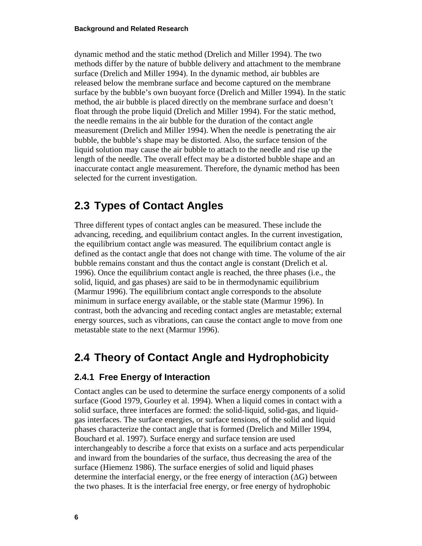dynamic method and the static method (Drelich and Miller 1994). The two methods differ by the nature of bubble delivery and attachment to the membrane surface (Drelich and Miller 1994). In the dynamic method, air bubbles are released below the membrane surface and become captured on the membrane surface by the bubble's own buoyant force (Drelich and Miller 1994). In the static method, the air bubble is placed directly on the membrane surface and doesn't float through the probe liquid (Drelich and Miller 1994). For the static method, the needle remains in the air bubble for the duration of the contact angle measurement (Drelich and Miller 1994). When the needle is penetrating the air bubble, the bubble's shape may be distorted. Also, the surface tension of the liquid solution may cause the air bubble to attach to the needle and rise up the length of the needle. The overall effect may be a distorted bubble shape and an inaccurate contact angle measurement. Therefore, the dynamic method has been selected for the current investigation.

# <span id="page-15-0"></span>**2.3 Types of Contact Angles**

Three different types of contact angles can be measured. These include the advancing, receding, and equilibrium contact angles. In the current investigation, the equilibrium contact angle was measured. The equilibrium contact angle is defined as the contact angle that does not change with time. The volume of the air bubble remains constant and thus the contact angle is constant (Drelich et al. 1996). Once the equilibrium contact angle is reached, the three phases (i.e., the solid, liquid, and gas phases) are said to be in thermodynamic equilibrium (Marmur 1996). The equilibrium contact angle corresponds to the absolute minimum in surface energy available, or the stable state (Marmur 1996). In contrast, both the advancing and receding contact angles are metastable; external energy sources, such as vibrations, can cause the contact angle to move from one metastable state to the next (Marmur 1996).

# <span id="page-15-1"></span>**2.4 Theory of Contact Angle and Hydrophobicity**

#### <span id="page-15-2"></span>**2.4.1 Free Energy of Interaction**

Contact angles can be used to determine the surface energy components of a solid surface (Good 1979, Gourley et al. 1994). When a liquid comes in contact with a solid surface, three interfaces are formed: the solid-liquid, solid-gas, and liquidgas interfaces. The surface energies, or surface tensions, of the solid and liquid phases characterize the contact angle that is formed (Drelich and Miller 1994, Bouchard et al. 1997). Surface energy and surface tension are used interchangeably to describe a force that exists on a surface and acts perpendicular and inward from the boundaries of the surface, thus decreasing the area of the surface (Hiemenz 1986). The surface energies of solid and liquid phases determine the interfacial energy, or the free energy of interaction  $(\Delta G)$  between the two phases. It is the interfacial free energy, or free energy of hydrophobic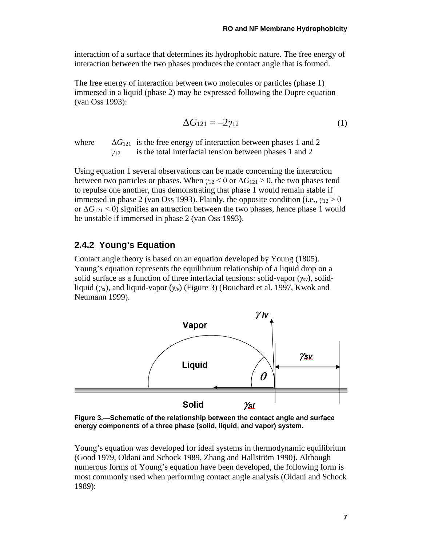interaction of a surface that determines its hydrophobic nature. The free energy of interaction between the two phases produces the contact angle that is formed.

The free energy of interaction between two molecules or particles (phase 1) immersed in a liquid (phase 2) may be expressed following the Dupre equation (van Oss 1993):

$$
\Delta G_{121} = -2\gamma_{12} \tag{1}
$$

where  $\Delta G_{121}$  is the free energy of interaction between phases 1 and 2 *γ*<sup>12</sup> is the total interfacial tension between phases 1 and 2

Using equation 1 several observations can be made concerning the interaction between two particles or phases. When  $\gamma_{12} < 0$  or  $\Delta G_{121} > 0$ , the two phases tend to repulse one another, thus demonstrating that phase 1 would remain stable if immersed in phase 2 (van Oss 1993). Plainly, the opposite condition (i.e.,  $\gamma_{12} > 0$ or  $\Delta G_{121}$  < 0) signifies an attraction between the two phases, hence phase 1 would be unstable if immersed in phase 2 (van Oss 1993).

#### <span id="page-16-0"></span>**2.4.2 Young's Equation**

Contact angle theory is based on an equation developed by Young (1805). Young's equation represents the equilibrium relationship of a liquid drop on a solid surface as a function of three interfacial tensions: solid-vapor (*γsv*), solidliquid (*γsl*), and liquid-vapor (*γlv*) (Figure 3) (Bouchard et al. 1997, Kwok and Neumann 1999).



<span id="page-16-1"></span>**Figure 3.—Schematic of the relationship between the contact angle and surface energy components of a three phase (solid, liquid, and vapor) system.**

Young's equation was developed for ideal systems in thermodynamic equilibrium (Good 1979, Oldani and Schock 1989, Zhang and Hallström 1990). Although numerous forms of Young's equation have been developed, the following form is most commonly used when performing contact angle analysis (Oldani and Schock 1989):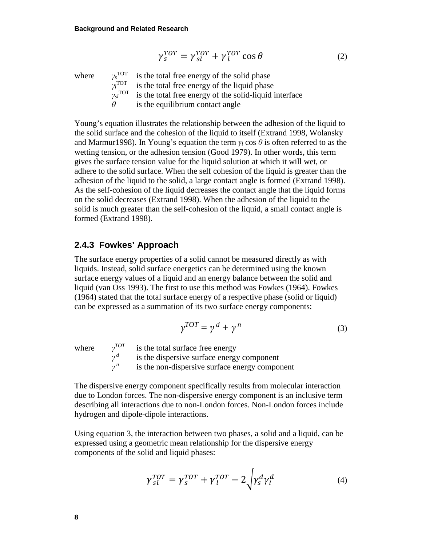$$
\gamma_s^{TOT} = \gamma_{sl}^{TOT} + \gamma_l^{TOT} \cos \theta \tag{2}
$$

where  $\gamma_s^{\text{TOT}}$ is the total free energy of the solid phase *γl* is the total free energy of the liquid phase *<sub>sl</sub><sup>TOT</sup>* is the total free energy of the solid-liquid interface  $\theta$  is the equilibrium contact angle

Young's equation illustrates the relationship between the adhesion of the liquid to the solid surface and the cohesion of the liquid to itself (Extrand 1998, Wolansky and Marmur1998). In Young's equation the term  $\gamma_l$  cos  $\theta$  is often referred to as the wetting tension, or the adhesion tension (Good 1979). In other words, this term gives the surface tension value for the liquid solution at which it will wet, or adhere to the solid surface. When the self cohesion of the liquid is greater than the adhesion of the liquid to the solid, a large contact angle is formed (Extrand 1998). As the self-cohesion of the liquid decreases the contact angle that the liquid forms on the solid decreases (Extrand 1998). When the adhesion of the liquid to the solid is much greater than the self-cohesion of the liquid, a small contact angle is formed (Extrand 1998).

#### <span id="page-17-0"></span>**2.4.3 Fowkes' Approach**

The surface energy properties of a solid cannot be measured directly as with liquids. Instead, solid surface energetics can be determined using the known surface energy values of a liquid and an energy balance between the solid and liquid (van Oss 1993). The first to use this method was Fowkes (1964). Fowkes (1964) stated that the total surface energy of a respective phase (solid or liquid) can be expressed as a summation of its two surface energy components:

$$
\gamma^{TOT} = \gamma^d + \gamma^n \tag{3}
$$

where  $\gamma^{TOT}$  is the total surface free energy<br> $\gamma^d$  is the dispersive surface energy *is the dispersive surface energy component γ <sup>n</sup>* is the non-dispersive surface energy component

The dispersive energy component specifically results from molecular interaction due to London forces. The non-dispersive energy component is an inclusive term describing all interactions due to non-London forces. Non-London forces include hydrogen and dipole-dipole interactions.

Using equation 3, the interaction between two phases, a solid and a liquid, can be expressed using a geometric mean relationship for the dispersive energy components of the solid and liquid phases:

$$
\gamma_{sl}^{TOT} = \gamma_s^{TOT} + \gamma_l^{TOT} - 2\sqrt{\gamma_s^d \gamma_l^d}
$$
 (4)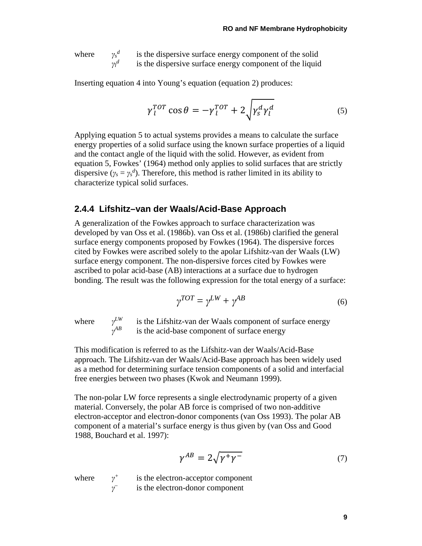where  $\gamma_s^d$ is the dispersive surface energy component of the solid  $γ<sub>l</sub><sup>d</sup>$ *d* is the dispersive surface energy component of the liquid

Inserting equation 4 into Young's equation (equation 2) produces:

$$
\gamma_l^{TOT} \cos \theta = -\gamma_l^{TOT} + 2\sqrt{\gamma_s^d \gamma_l^d} \tag{5}
$$

Applying equation 5 to actual systems provides a means to calculate the surface energy properties of a solid surface using the known surface properties of a liquid and the contact angle of the liquid with the solid. However, as evident from equation 5, Fowkes' (1964) method only applies to solid surfaces that are strictly dispersive ( $\gamma_s = \gamma_s^d$ ). Therefore, this method is rather limited in its ability to characterize typical solid surfaces.

#### <span id="page-18-0"></span>**2.4.4 Lifshitz–van der Waals/Acid-Base Approach**

A generalization of the Fowkes approach to surface characterization was developed by van Oss et al. (1986b). van Oss et al. (1986b) clarified the general surface energy components proposed by Fowkes (1964). The dispersive forces cited by Fowkes were ascribed solely to the apolar Lifshitz-van der Waals (LW) surface energy component. The non-dispersive forces cited by Fowkes were ascribed to polar acid-base (AB) interactions at a surface due to hydrogen bonding. The result was the following expression for the total energy of a surface:

$$
\gamma^{TOT} = \gamma^{LW} + \gamma^{AB} \tag{6}
$$

where  $\gamma^{LW}$  is the Lifshitz-van der Waals component of surface energy is the acid-base component of surface energy *is the acid-base component of surface energy* 

This modification is referred to as the Lifshitz-van der Waals/Acid-Base approach. The Lifshitz-van der Waals/Acid-Base approach has been widely used as a method for determining surface tension components of a solid and interfacial free energies between two phases (Kwok and Neumann 1999).

The non-polar LW force represents a single electrodynamic property of a given material. Conversely, the polar AB force is comprised of two non-additive electron-acceptor and electron-donor components (van Oss 1993). The polar AB component of a material's surface energy is thus given by (van Oss and Good 1988, Bouchard et al. 1997):

$$
\gamma^{AB} = 2\sqrt{\gamma^+ \gamma^-} \tag{7}
$$

where  $\gamma^+$  is the electron-acceptor component *γ–* is the electron-donor component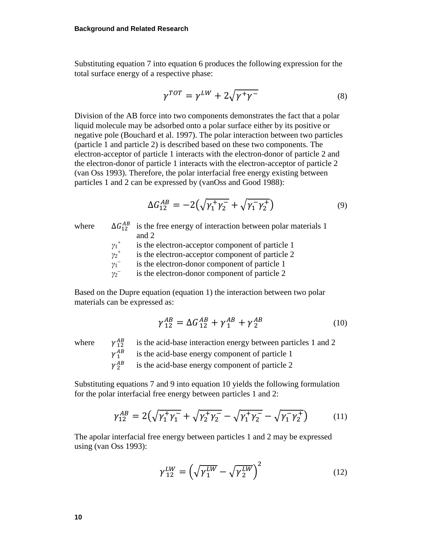Substituting equation 7 into equation 6 produces the following expression for the total surface energy of a respective phase:

$$
\gamma^{TOT} = \gamma^{LW} + 2\sqrt{\gamma^+ \gamma^-} \tag{8}
$$

Division of the AB force into two components demonstrates the fact that a polar liquid molecule may be adsorbed onto a polar surface either by its positive or negative pole (Bouchard et al. 1997). The polar interaction between two particles (particle 1 and particle 2) is described based on these two components. The electron-acceptor of particle 1 interacts with the electron-donor of particle 2 and the electron-donor of particle 1 interacts with the electron-acceptor of particle 2 (van Oss 1993). Therefore, the polar interfacial free energy existing between particles 1 and 2 can be expressed by (vanOss and Good 1988):

$$
\Delta G_{12}^{AB} = -2(\sqrt{\gamma_1^+ \gamma_2^-} + \sqrt{\gamma_1^- \gamma_2^+})
$$
\n(9)

where

 $\Delta G_{12}^{AB}$  is the free energy of interaction between polar materials 1 and 2

*γ*1 is the electron-acceptor component of particle 1

*γ*2 is the electron-acceptor component of particle 2

*γ*1 is the electron-donor component of particle 1

*γ*2 is the electron-donor component of particle 2

Based on the Dupre equation (equation 1) the interaction between two polar materials can be expressed as:

$$
\gamma_{12}^{AB} = \Delta G_{12}^{AB} + \gamma_1^{AB} + \gamma_2^{AB} \tag{10}
$$

where  $\gamma_{12}^{AB}$ 

 is the acid-base interaction energy between particles 1 and 2  $\gamma^{AB}_{1}$ 

is the acid-base energy component of particle 1

 $\gamma^{AB}$ is the acid-base energy component of particle 2

Substituting equations 7 and 9 into equation 10 yields the following formulation for the polar interfacial free energy between particles 1 and 2:

$$
\gamma_{12}^{AB} = 2(\sqrt{\gamma_1^+ \gamma_1^-} + \sqrt{\gamma_2^+ \gamma_2^-} - \sqrt{\gamma_1^+ \gamma_2^-} - \sqrt{\gamma_1^- \gamma_2^+}) \tag{11}
$$

The apolar interfacial free energy between particles 1 and 2 may be expressed using (van Oss 1993):

$$
\gamma_{12}^{LW} = \left(\sqrt{\gamma_1^{LW}} - \sqrt{\gamma_2^{LW}}\right)^2\tag{12}
$$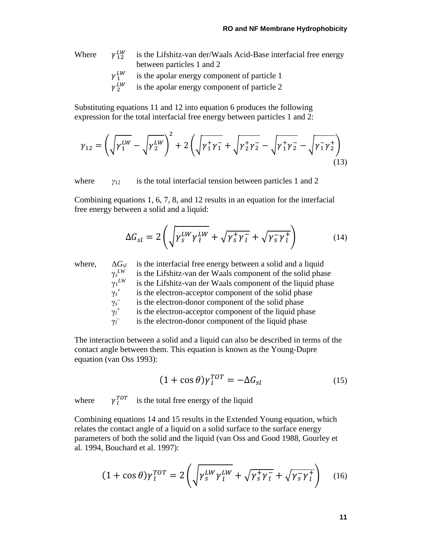Where  $\gamma_{12}^{LW}$  is the Lifshitz-van der/Waals Acid-Base interfacial free energy between particles 1 and 2

$$
\gamma_1^{LW}
$$
 is the apolar energy component of particle 1

 $\gamma_2^{\nu}$ is the apolar energy component of particle 2

Substituting equations 11 and 12 into equation 6 produces the following expression for the total interfacial free energy between particles 1 and 2:

$$
\gamma_{12} = \left(\sqrt{\gamma_1^{LW}} - \sqrt{\gamma_2^{LW}}\right)^2 + 2\left(\sqrt{\gamma_1^{+}\gamma_1^{-}} + \sqrt{\gamma_2^{+}\gamma_2^{-}} - \sqrt{\gamma_1^{+}\gamma_2^{-}} - \sqrt{\gamma_1^{-}\gamma_2^{+}}\right)
$$
\n(13)

where  $y_{12}$  is the total interfacial tension between particles 1 and 2

Combining equations 1, 6, 7, 8, and 12 results in an equation for the interfacial free energy between a solid and a liquid:

$$
\Delta G_{sl} = 2 \left( \sqrt{\gamma_S^{LW} \gamma_l^{LW}} + \sqrt{\gamma_S^+ \gamma_l^-} + \sqrt{\gamma_S^- \gamma_l^+} \right) \tag{14}
$$

where,  $\Delta G_{sl}$  is the interfacial free energy between a solid and a liquid  $\gamma_s^{LW}$ is the Lifshitz-van der Waals component of the solid phase  $\gamma_1^{LW}$ is the Lifshitz-van der Waals component of the liquid phase γ*s* is the electron-acceptor component of the solid phase γ*s* is the electron-donor component of the solid phase γ*l* is the electron-acceptor component of the liquid phase  $\gamma_l^$ is the electron-donor component of the liquid phase

The interaction between a solid and a liquid can also be described in terms of the contact angle between them. This equation is known as the Young-Dupre equation (van Oss 1993):

$$
(1 + \cos \theta)\gamma_l^{TOT} = -\Delta G_{sl} \tag{15}
$$

where  $\gamma_I^{TOT}$  is the total free energy of the liquid

Combining equations 14 and 15 results in the Extended Young equation, which relates the contact angle of a liquid on a solid surface to the surface energy parameters of both the solid and the liquid (van Oss and Good 1988, Gourley et al. 1994, Bouchard et al. 1997):

$$
(1 + \cos \theta) \gamma_l^{TOT} = 2 \left( \sqrt{\gamma_s^{LW} \gamma_l^{LW}} + \sqrt{\gamma_s^+ \gamma_l^-} + \sqrt{\gamma_s^- \gamma_l^+} \right) \quad (16)
$$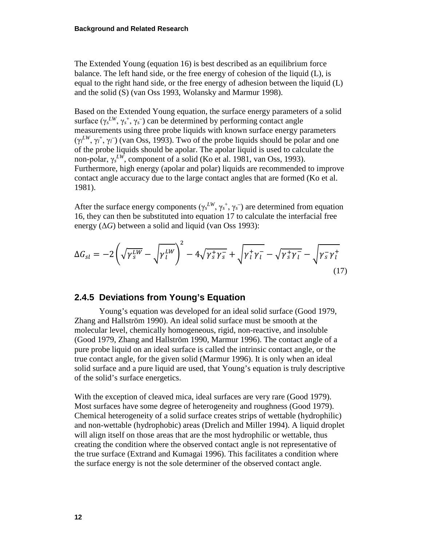The Extended Young (equation 16) is best described as an equilibrium force balance. The left hand side, or the free energy of cohesion of the liquid (L), is equal to the right hand side, or the free energy of adhesion between the liquid (L) and the solid (S) (van Oss 1993, Wolansky and Marmur 1998).

Based on the Extended Young equation, the surface energy parameters of a solid surface  $(\gamma_s^{LW}, \gamma_s^+, \gamma_s^-)$  can be determined by performing contact angle measurements using three probe liquids with known surface energy parameters (γ<sup>*LW*</sup>, γ<sup>*†*</sup>, γ<sup>*†*</sup>) (van Oss, 1993). Two of the probe liquids should be polar and one of the probe liquids should be apolar. The apolar liquid is used to calculate the non-polar, γ*<sup>s</sup> LW*, component of a solid (Ko et al. 1981, van Oss, 1993). Furthermore, high energy (apolar and polar) liquids are recommended to improve contact angle accuracy due to the large contact angles that are formed (Ko et al. 1981).

After the surface energy components  $(\gamma_s^L{}^W, \gamma_s^+, \gamma_s^-)$  are determined from equation 16, they can then be substituted into equation 17 to calculate the interfacial free energy  $(\Delta G)$  between a solid and liquid (van Oss 1993):

$$
\Delta G_{sl} = -2\left(\sqrt{\gamma_S^{LW}} - \sqrt{\gamma_l^{LW}}\right)^2 - 4\sqrt{\gamma_S^+ \gamma_S^-} + \sqrt{\gamma_l^+ \gamma_l^-} - \sqrt{\gamma_S^+ \gamma_l^-} - \sqrt{\gamma_S^- \gamma_l^+} \tag{17}
$$

#### <span id="page-21-0"></span>**2.4.5 Deviations from Young's Equation**

Young's equation was developed for an ideal solid surface (Good 1979, Zhang and Hallström 1990). An ideal solid surface must be smooth at the molecular level, chemically homogeneous, rigid, non-reactive, and insoluble (Good 1979, Zhang and Hallström 1990, Marmur 1996). The contact angle of a pure probe liquid on an ideal surface is called the intrinsic contact angle, or the true contact angle, for the given solid (Marmur 1996). It is only when an ideal solid surface and a pure liquid are used, that Young's equation is truly descriptive of the solid's surface energetics.

With the exception of cleaved mica, ideal surfaces are very rare (Good 1979). Most surfaces have some degree of heterogeneity and roughness (Good 1979). Chemical heterogeneity of a solid surface creates strips of wettable (hydrophilic) and non-wettable (hydrophobic) areas (Drelich and Miller 1994). A liquid droplet will align itself on those areas that are the most hydrophilic or wettable, thus creating the condition where the observed contact angle is not representative of the true surface (Extrand and Kumagai 1996). This facilitates a condition where the surface energy is not the sole determiner of the observed contact angle.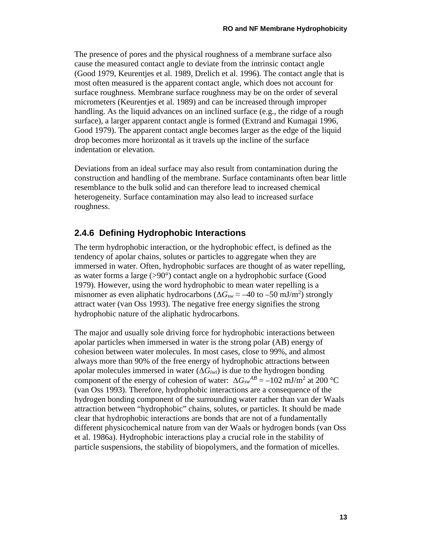The presence of pores and the physical roughness of a membrane surface also cause the measured contact angle to deviate from the intrinsic contact angle (Good 1979, Keurentjes et al. 1989, Drelich et al. 1996). The contact angle that is most often measured is the apparent contact angle, which does not account for surface roughness. Membrane surface roughness may be on the order of several micrometers (Keurentjes et al. 1989) and can be increased through improper handling. As the liquid advances on an inclined surface (e.g., the ridge of a rough surface), a larger apparent contact angle is formed (Extrand and Kumagai 1996, Good 1979). The apparent contact angle becomes larger as the edge of the liquid drop becomes more horizontal as it travels up the incline of the surface indentation or elevation.

Deviations from an ideal surface may also result from contamination during the construction and handling of the membrane. Surface contaminants often bear little resemblance to the bulk solid and can therefore lead to increased chemical heterogeneity. Surface contamination may also lead to increased surface roughness.

#### <span id="page-22-0"></span>**2.4.6 Defining Hydrophobic Interactions**

The term hydrophobic interaction, or the hydrophobic effect, is defined as the tendency of apolar chains, solutes or particles to aggregate when they are immersed in water. Often, hydrophobic surfaces are thought of as water repelling, as water forms a large (>90°) contact angle on a hydrophobic surface (Good 1979). However, using the word hydrophobic to mean water repelling is a misnomer as even aliphatic hydrocarbons ( $\Delta G_{sw} \approx -40$  to  $-50$  mJ/m<sup>2</sup>) strongly attract water (van Oss 1993). The negative free energy signifies the strong hydrophobic nature of the aliphatic hydrocarbons.

The major and usually sole driving force for hydrophobic interactions between apolar particles when immersed in water is the strong polar (AB) energy of cohesion between water molecules. In most cases, close to 99%, and almost always more than 90% of the free energy of hydrophobic attractions between apolar molecules immersed in water  $(\Delta G_{iwi})$  is due to the hydrogen bonding component of the energy of cohesion of water:  $\Delta G_{sw}^{AB} = -102 \text{ mJ/m}^2$  at 200 °C (van Oss 1993). Therefore, hydrophobic interactions are a consequence of the hydrogen bonding component of the surrounding water rather than van der Waals attraction between "hydrophobic" chains, solutes, or particles. It should be made clear that hydrophobic interactions are bonds that are not of a fundamentally different physicochemical nature from van der Waals or hydrogen bonds (van Oss et al. 1986a). Hydrophobic interactions play a crucial role in the stability of particle suspensions, the stability of biopolymers, and the formation of micelles.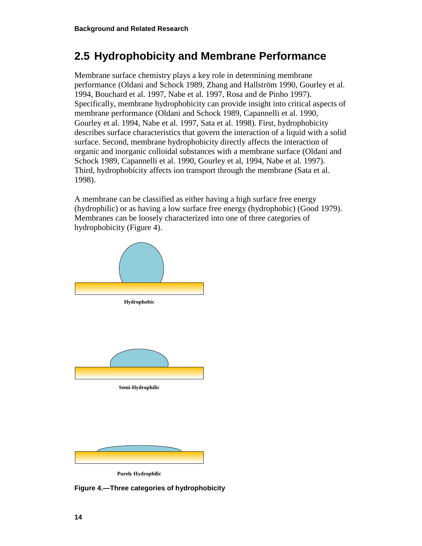## <span id="page-23-0"></span>**2.5 Hydrophobicity and Membrane Performance**

Membrane surface chemistry plays a key role in determining membrane performance (Oldani and Schock 1989, Zhang and Hallström 1990, Gourley et al. 1994, Bouchard et al. 1997, Nabe et al. 1997, Rosa and de Pinho 1997). Specifically, membrane hydrophobicity can provide insight into critical aspects of membrane performance (Oldani and Schock 1989, Capannelli et al. 1990, Gourley et al. 1994, Nabe et al. 1997, Sata et al. 1998). First, hydrophobicity describes surface characteristics that govern the interaction of a liquid with a solid surface. Second, membrane hydrophobicity directly affects the interaction of organic and inorganic colloidal substances with a membrane surface (Oldani and Schock 1989, Capannelli et al. 1990, Gourley et al, 1994, Nabe et al. 1997). Third, hydrophobicity affects ion transport through the membrane (Sata et al. 1998).

A membrane can be classified as either having a high surface free energy (hydrophilic) or as having a low surface free energy (hydrophobic) (Good 1979). Membranes can be loosely characterized into one of three categories of hydrophobicity (Figure 4).



**Purely Hydrophilic**

<span id="page-23-1"></span>**Figure 4.—Three categories of hydrophobicity**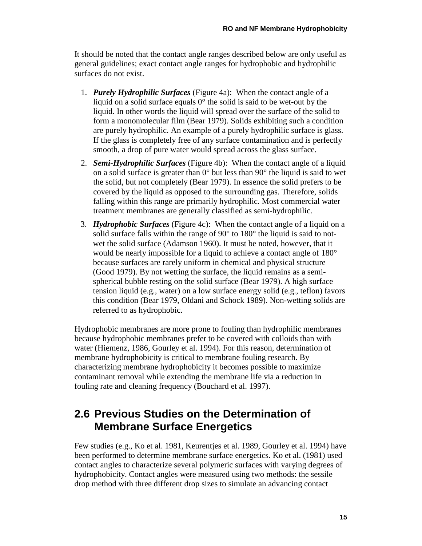It should be noted that the contact angle ranges described below are only useful as general guidelines; exact contact angle ranges for hydrophobic and hydrophilic surfaces do not exist.

- 1. *Purely Hydrophilic Surfaces* (Figure 4a): When the contact angle of a liquid on a solid surface equals 0° the solid is said to be wet-out by the liquid. In other words the liquid will spread over the surface of the solid to form a monomolecular film (Bear 1979). Solids exhibiting such a condition are purely hydrophilic. An example of a purely hydrophilic surface is glass. If the glass is completely free of any surface contamination and is perfectly smooth, a drop of pure water would spread across the glass surface.
- 2. *Semi-Hydrophilic Surfaces* (Figure 4b): When the contact angle of a liquid on a solid surface is greater than 0° but less than 90° the liquid is said to wet the solid, but not completely (Bear 1979). In essence the solid prefers to be covered by the liquid as opposed to the surrounding gas. Therefore, solids falling within this range are primarily hydrophilic. Most commercial water treatment membranes are generally classified as semi-hydrophilic.
- 3. *Hydrophobic Surfaces* (Figure 4c): When the contact angle of a liquid on a solid surface falls within the range of 90° to 180° the liquid is said to notwet the solid surface (Adamson 1960). It must be noted, however, that it would be nearly impossible for a liquid to achieve a contact angle of 180° because surfaces are rarely uniform in chemical and physical structure (Good 1979). By not wetting the surface, the liquid remains as a semispherical bubble resting on the solid surface (Bear 1979). A high surface tension liquid (e.g., water) on a low surface energy solid (e.g., teflon) favors this condition (Bear 1979, Oldani and Schock 1989). Non-wetting solids are referred to as hydrophobic.

Hydrophobic membranes are more prone to fouling than hydrophilic membranes because hydrophobic membranes prefer to be covered with colloids than with water (Hiemenz, 1986, Gourley et al. 1994). For this reason, determination of membrane hydrophobicity is critical to membrane fouling research. By characterizing membrane hydrophobicity it becomes possible to maximize contaminant removal while extending the membrane life via a reduction in fouling rate and cleaning frequency (Bouchard et al. 1997).

### <span id="page-24-0"></span>**2.6 Previous Studies on the Determination of Membrane Surface Energetics**

Few studies (e.g., Ko et al. 1981, Keurentjes et al. 1989, Gourley et al. 1994) have been performed to determine membrane surface energetics. Ko et al. (1981) used contact angles to characterize several polymeric surfaces with varying degrees of hydrophobicity. Contact angles were measured using two methods: the sessile drop method with three different drop sizes to simulate an advancing contact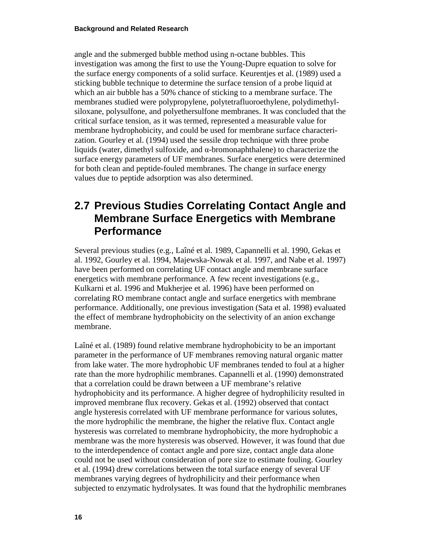angle and the submerged bubble method using n-octane bubbles. This investigation was among the first to use the Young-Dupre equation to solve for the surface energy components of a solid surface. Keurentjes et al. (1989) used a sticking bubble technique to determine the surface tension of a probe liquid at which an air bubble has a 50% chance of sticking to a membrane surface. The membranes studied were polypropylene, polytetrafluoroethylene, polydimethylsiloxane, polysulfone, and polyethersulfone membranes. It was concluded that the critical surface tension, as it was termed, represented a measurable value for membrane hydrophobicity, and could be used for membrane surface characterization. Gourley et al. (1994) used the sessile drop technique with three probe liquids (water, dimethyl sulfoxide, and α-bromonaphthalene) to characterize the surface energy parameters of UF membranes. Surface energetics were determined for both clean and peptide-fouled membranes. The change in surface energy values due to peptide adsorption was also determined.

### <span id="page-25-0"></span>**2.7 Previous Studies Correlating Contact Angle and Membrane Surface Energetics with Membrane Performance**

Several previous studies (e.g., Laîné et al. 1989, Capannelli et al. 1990, Gekas et al. 1992, Gourley et al. 1994, Majewska-Nowak et al. 1997, and Nabe et al. 1997) have been performed on correlating UF contact angle and membrane surface energetics with membrane performance. A few recent investigations (e.g., Kulkarni et al. 1996 and Mukherjee et al. 1996) have been performed on correlating RO membrane contact angle and surface energetics with membrane performance. Additionally, one previous investigation (Sata et al. 1998) evaluated the effect of membrane hydrophobicity on the selectivity of an anion exchange membrane.

Laîné et al. (1989) found relative membrane hydrophobicity to be an important parameter in the performance of UF membranes removing natural organic matter from lake water. The more hydrophobic UF membranes tended to foul at a higher rate than the more hydrophilic membranes. Capannelli et al. (1990) demonstrated that a correlation could be drawn between a UF membrane's relative hydrophobicity and its performance. A higher degree of hydrophilicity resulted in improved membrane flux recovery. Gekas et al. (1992) observed that contact angle hysteresis correlated with UF membrane performance for various solutes, the more hydrophilic the membrane, the higher the relative flux. Contact angle hysteresis was correlated to membrane hydrophobicity, the more hydrophobic a membrane was the more hysteresis was observed. However, it was found that due to the interdependence of contact angle and pore size, contact angle data alone could not be used without consideration of pore size to estimate fouling. Gourley et al. (1994) drew correlations between the total surface energy of several UF membranes varying degrees of hydrophilicity and their performance when subjected to enzymatic hydrolysates. It was found that the hydrophilic membranes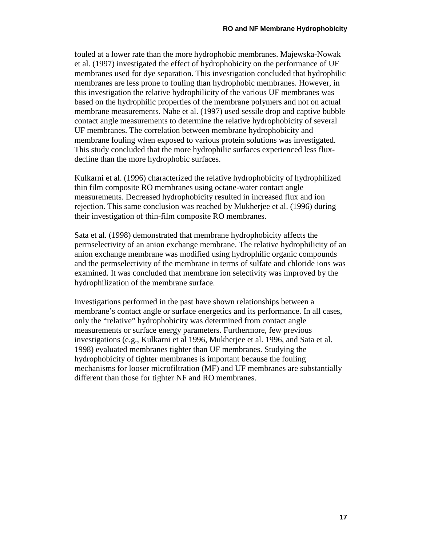fouled at a lower rate than the more hydrophobic membranes. Majewska-Nowak et al. (1997) investigated the effect of hydrophobicity on the performance of UF membranes used for dye separation. This investigation concluded that hydrophilic membranes are less prone to fouling than hydrophobic membranes. However, in this investigation the relative hydrophilicity of the various UF membranes was based on the hydrophilic properties of the membrane polymers and not on actual membrane measurements. Nabe et al. (1997) used sessile drop and captive bubble contact angle measurements to determine the relative hydrophobicity of several UF membranes. The correlation between membrane hydrophobicity and membrane fouling when exposed to various protein solutions was investigated. This study concluded that the more hydrophilic surfaces experienced less fluxdecline than the more hydrophobic surfaces.

Kulkarni et al. (1996) characterized the relative hydrophobicity of hydrophilized thin film composite RO membranes using octane-water contact angle measurements. Decreased hydrophobicity resulted in increased flux and ion rejection. This same conclusion was reached by Mukherjee et al. (1996) during their investigation of thin-film composite RO membranes.

Sata et al. (1998) demonstrated that membrane hydrophobicity affects the permselectivity of an anion exchange membrane. The relative hydrophilicity of an anion exchange membrane was modified using hydrophilic organic compounds and the permselectivity of the membrane in terms of sulfate and chloride ions was examined. It was concluded that membrane ion selectivity was improved by the hydrophilization of the membrane surface.

Investigations performed in the past have shown relationships between a membrane's contact angle or surface energetics and its performance. In all cases, only the "relative" hydrophobicity was determined from contact angle measurements or surface energy parameters. Furthermore, few previous investigations (e.g., Kulkarni et al 1996, Mukherjee et al. 1996, and Sata et al. 1998) evaluated membranes tighter than UF membranes. Studying the hydrophobicity of tighter membranes is important because the fouling mechanisms for looser microfiltration (MF) and UF membranes are substantially different than those for tighter NF and RO membranes.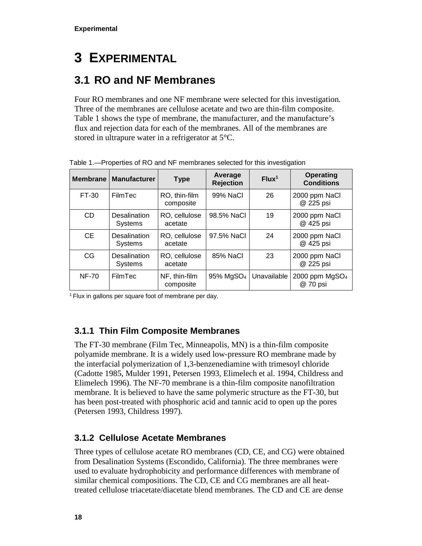# <span id="page-27-0"></span>**3 EXPERIMENTAL**

# <span id="page-27-1"></span>**3.1 RO and NF Membranes**

Four RO membranes and one NF membrane were selected for this investigation. Three of the membranes are cellulose acetate and two are thin-film composite. Table 1 shows the type of membrane, the manufacturer, and the manufacture's flux and rejection data for each of the membranes. All of the membranes are stored in ultrapure water in a refrigerator at 5°C.

| <b>Membrane</b> | <b>Manufacturer</b>                   | <b>Type</b>                | Average<br><b>Rejection</b> | Flux <sup>1</sup> | <b>Operating</b><br><b>Conditions</b> |
|-----------------|---------------------------------------|----------------------------|-----------------------------|-------------------|---------------------------------------|
| FT-30           | FilmTec                               | RO, thin-film<br>composite | 99% NaCl                    | 26                | 2000 ppm NaCl<br>@ 225 psi            |
| C <sub>D</sub>  | <b>Desalination</b><br><b>Systems</b> | RO, cellulose<br>acetate   | 98.5% NaCl                  | 19                | 2000 ppm NaCl<br>@ 425 psi            |
| <b>CE</b>       | <b>Desalination</b><br><b>Systems</b> | RO, cellulose<br>acetate   | 97.5% NaCl                  | 24                | 2000 ppm NaCl<br>@ 425 psi            |
| CG              | Desalination<br><b>Systems</b>        | RO, cellulose<br>acetate   | 85% NaCl                    | 23                | 2000 ppm NaCl<br>@ 225 psi            |
| <b>NF-70</b>    | FilmTec                               | NF, thin-film<br>composite | 95% MgSO <sub>4</sub>       | Unavailable       | 2000 ppm $MgSO4$<br>@ 70 psi          |

<span id="page-27-4"></span>Table 1.—Properties of RO and NF membranes selected for this investigation

<span id="page-27-2"></span><sup>1</sup> Flux in gallons per square foot of membrane per day.

#### **3.1.1 Thin Film Composite Membranes**

The FT-30 membrane (Film Tec, Minneapolis, MN) is a thin-film composite polyamide membrane. It is a widely used low-pressure RO membrane made by the interfacial polymerization of 1,3-benzenediamine with trimesoyl chloride (Cadotte 1985, Mulder 1991, Petersen 1993, Elimelech et al. 1994, Childress and Elimelech 1996). The NF-70 membrane is a thin-film composite nanofiltration membrane. It is believed to have the same polymeric structure as the FT-30, but has been post-treated with phosphoric acid and tannic acid to open up the pores (Petersen 1993, Childress 1997).

#### <span id="page-27-3"></span>**3.1.2 Cellulose Acetate Membranes**

Three types of cellulose acetate RO membranes (CD, CE, and CG) were obtained from Desalination Systems (Escondido, California). The three membranes were used to evaluate hydrophobicity and performance differences with membrane of similar chemical compositions. The CD, CE and CG membranes are all heattreated cellulose triacetate/diacetate blend membranes. The CD and CE are dense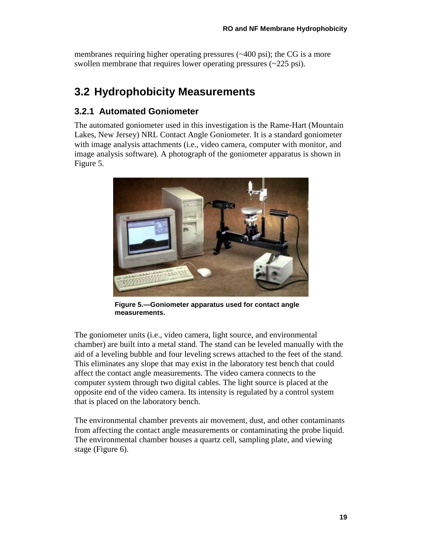membranes requiring higher operating pressures (~400 psi); the CG is a more swollen membrane that requires lower operating pressures (~225 psi).

# <span id="page-28-0"></span>**3.2 Hydrophobicity Measurements**

#### <span id="page-28-1"></span>**3.2.1 Automated Goniometer**

The automated goniometer used in this investigation is the Rame-Hart (Mountain Lakes, New Jersey) NRL Contact Angle Goniometer. It is a standard goniometer with image analysis attachments (i.e., video camera, computer with monitor, and image analysis software). A photograph of the goniometer apparatus is shown in Figure 5.



**Figure 5.—Goniometer apparatus used for contact angle measurements.**

<span id="page-28-2"></span>The goniometer units (i.e., video camera, light source, and environmental chamber) are built into a metal stand. The stand can be leveled manually with the aid of a leveling bubble and four leveling screws attached to the feet of the stand. This eliminates any slope that may exist in the laboratory test bench that could affect the contact angle measurements. The video camera connects to the computer system through two digital cables. The light source is placed at the opposite end of the video camera. Its intensity is regulated by a control system that is placed on the laboratory bench.

The environmental chamber prevents air movement, dust, and other contaminants from affecting the contact angle measurements or contaminating the probe liquid. The environmental chamber houses a quartz cell, sampling plate, and viewing stage (Figure 6).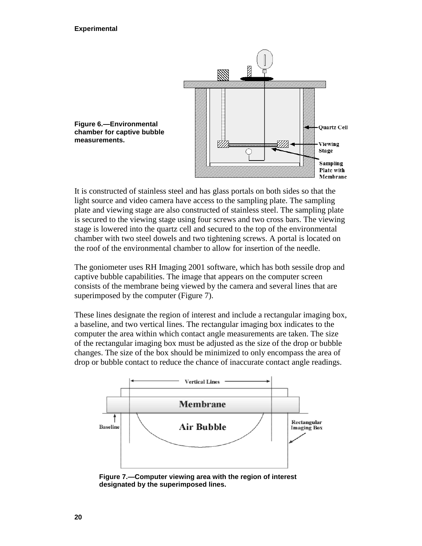

<span id="page-29-0"></span>It is constructed of stainless steel and has glass portals on both sides so that the light source and video camera have access to the sampling plate. The sampling plate and viewing stage are also constructed of stainless steel. The sampling plate is secured to the viewing stage using four screws and two cross bars. The viewing stage is lowered into the quartz cell and secured to the top of the environmental chamber with two steel dowels and two tightening screws. A portal is located on the roof of the environmental chamber to allow for insertion of the needle.

The goniometer uses RH Imaging 2001 software, which has both sessile drop and captive bubble capabilities. The image that appears on the computer screen consists of the membrane being viewed by the camera and several lines that are superimposed by the computer (Figure 7).

These lines designate the region of interest and include a rectangular imaging box, a baseline, and two vertical lines. The rectangular imaging box indicates to the computer the area within which contact angle measurements are taken. The size of the rectangular imaging box must be adjusted as the size of the drop or bubble changes. The size of the box should be minimized to only encompass the area of drop or bubble contact to reduce the chance of inaccurate contact angle readings.



<span id="page-29-1"></span>**Figure 7.—Computer viewing area with the region of interest designated by the superimposed lines.**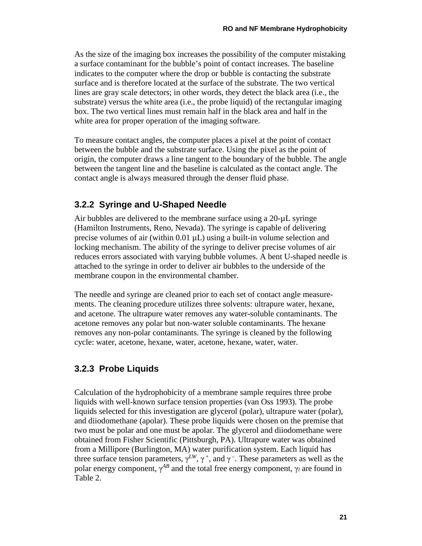As the size of the imaging box increases the possibility of the computer mistaking a surface contaminant for the bubble's point of contact increases. The baseline indicates to the computer where the drop or bubble is contacting the substrate surface and is therefore located at the surface of the substrate. The two vertical lines are gray scale detectors; in other words, they detect the black area (i.e., the substrate) versus the white area (i.e., the probe liquid) of the rectangular imaging box. The two vertical lines must remain half in the black area and half in the white area for proper operation of the imaging software.

To measure contact angles, the computer places a pixel at the point of contact between the bubble and the substrate surface. Using the pixel as the point of origin, the computer draws a line tangent to the boundary of the bubble. The angle between the tangent line and the baseline is calculated as the contact angle. The contact angle is always measured through the denser fluid phase.

#### <span id="page-30-0"></span>**3.2.2 Syringe and U-Shaped Needle**

Air bubbles are delivered to the membrane surface using a 20-µL syringe (Hamilton Instruments, Reno, Nevada). The syringe is capable of delivering precise volumes of air (within  $0.01 \mu L$ ) using a built-in volume selection and locking mechanism. The ability of the syringe to deliver precise volumes of air reduces errors associated with varying bubble volumes. A bent U-shaped needle is attached to the syringe in order to deliver air bubbles to the underside of the membrane coupon in the environmental chamber.

The needle and syringe are cleaned prior to each set of contact angle measurements. The cleaning procedure utilizes three solvents: ultrapure water, hexane, and acetone. The ultrapure water removes any water-soluble contaminants. The acetone removes any polar but non-water soluble contaminants. The hexane removes any non-polar contaminants. The syringe is cleaned by the following cycle: water, acetone, hexane, water, acetone, hexane, water, water.

#### <span id="page-30-1"></span>**3.2.3 Probe Liquids**

Calculation of the hydrophobicity of a membrane sample requires three probe liquids with well-known surface tension properties (van Oss 1993). The probe liquids selected for this investigation are glycerol (polar), ultrapure water (polar), and diiodomethane (apolar). These probe liquids were chosen on the premise that two must be polar and one must be apolar. The glycerol and diiodomethane were obtained from Fisher Scientific (Pittsburgh, PA). Ultrapure water was obtained from a Millipore (Burlington, MA) water purification system. Each liquid has three surface tension parameters,  $\gamma^{LW}$ ,  $\gamma^+$ , and  $\gamma^-$ . These parameters as well as the polar energy component,  $\gamma^{AB}$  and the total free energy component,  $\gamma_l$  are found in Table 2.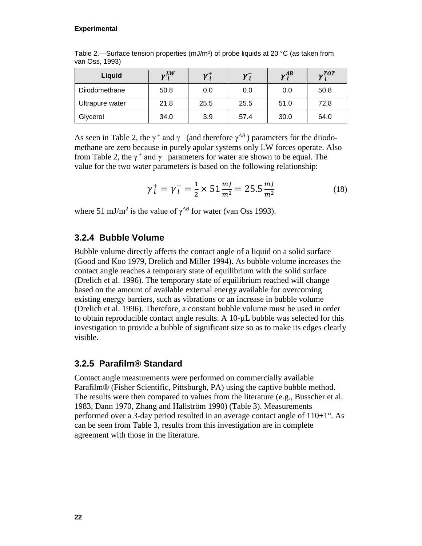#### **Experimental**

| Liquid          | $v^{LW}$ | $\mathbf{v}$ | $\gamma_I$ | $v^{AB}$ | $v^{TOT}$ |
|-----------------|----------|--------------|------------|----------|-----------|
| Diiodomethane   | 50.8     | 0.0          | 0.0        | 0.0      | 50.8      |
| Ultrapure water | 21.8     | 25.5         | 25.5       | 51.0     | 72.8      |
| Glycerol        | 34.0     | 3.9          | 57.4       | 30.0     | 64.0      |

<span id="page-31-2"></span>Table 2.—Surface tension properties (mJ/m<sup>2</sup>) of probe liquids at 20 °C (as taken from van Oss, 1993)

As seen in Table 2, the  $\gamma^+$  and  $\gamma^-$  (and therefore  $\gamma^{AB}$ ) parameters for the diiodomethane are zero because in purely apolar systems only LW forces operate. Also from Table 2, the  $\gamma^+$  and  $\gamma^-$  parameters for water are shown to be equal. The value for the two water parameters is based on the following relationship:

$$
\gamma_l^+ = \gamma_l^- = \frac{1}{2} \times 51 \frac{mJ}{m^2} = 25.5 \frac{mJ}{m^2}
$$
 (18)

<span id="page-31-0"></span>where 51 mJ/m<sup>2</sup> is the value of  $\gamma^{AB}$  for water (van Oss 1993).

#### **3.2.4 Bubble Volume**

Bubble volume directly affects the contact angle of a liquid on a solid surface (Good and Koo 1979, Drelich and Miller 1994). As bubble volume increases the contact angle reaches a temporary state of equilibrium with the solid surface (Drelich et al. 1996). The temporary state of equilibrium reached will change based on the amount of available external energy available for overcoming existing energy barriers, such as vibrations or an increase in bubble volume (Drelich et al. 1996). Therefore, a constant bubble volume must be used in order to obtain reproducible contact angle results. A 10-µL bubble was selected for this investigation to provide a bubble of significant size so as to make its edges clearly visible.

#### <span id="page-31-1"></span>**3.2.5 Parafilm® Standard**

Contact angle measurements were performed on commercially available Parafilm® (Fisher Scientific, Pittsburgh, PA) using the captive bubble method. The results were then compared to values from the literature (e.g., Busscher et al. 1983, Dann 1970, Zhang and Hallström 1990) (Table 3). Measurements performed over a 3-day period resulted in an average contact angle of  $110\pm1^\circ$ . As can be seen from Table 3, results from this investigation are in complete agreement with those in the literature.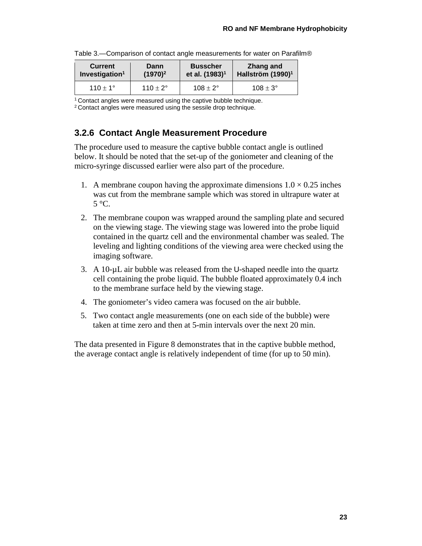| <b>Current</b>             | Dann                |                     | Zhang and                     |  |
|----------------------------|---------------------|---------------------|-------------------------------|--|
| Investigation <sup>1</sup> | $(1970)^2$          |                     | Hallström (1990) <sup>1</sup> |  |
| $110 + 1^{\circ}$          | $110 \pm 2^{\circ}$ | $108 \pm 2^{\circ}$ | $108 \pm 3^{\circ}$           |  |

<span id="page-32-1"></span>Table 3.—Comparison of contact angle measurements for water on Parafilm®

<sup>1</sup> Contact angles were measured using the captive bubble technique.

<span id="page-32-0"></span>2 Contact angles were measured using the sessile drop technique.

#### **3.2.6 Contact Angle Measurement Procedure**

The procedure used to measure the captive bubble contact angle is outlined below. It should be noted that the set-up of the goniometer and cleaning of the micro-syringe discussed earlier were also part of the procedure.

- 1. A membrane coupon having the approximate dimensions  $1.0 \times 0.25$  inches was cut from the membrane sample which was stored in ultrapure water at 5 °C.
- 2. The membrane coupon was wrapped around the sampling plate and secured on the viewing stage. The viewing stage was lowered into the probe liquid contained in the quartz cell and the environmental chamber was sealed. The leveling and lighting conditions of the viewing area were checked using the imaging software.
- 3. A 10-µL air bubble was released from the U-shaped needle into the quartz cell containing the probe liquid. The bubble floated approximately 0.4 inch to the membrane surface held by the viewing stage.
- 4. The goniometer's video camera was focused on the air bubble.
- 5. Two contact angle measurements (one on each side of the bubble) were taken at time zero and then at 5-min intervals over the next 20 min.

The data presented in Figure 8 demonstrates that in the captive bubble method, the average contact angle is relatively independent of time (for up to 50 min).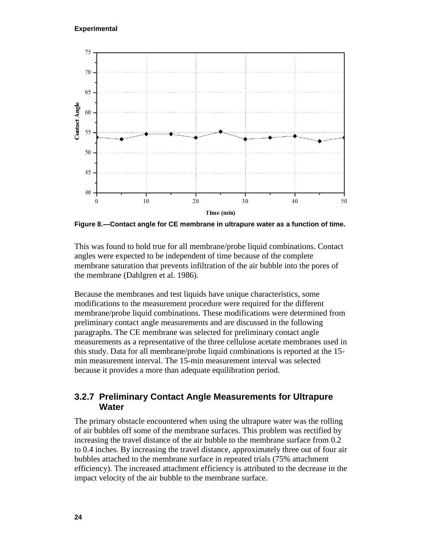

<span id="page-33-1"></span>**Figure 8.—Contact angle for CE membrane in ultrapure water as a function of time.**

This was found to hold true for all membrane/probe liquid combinations. Contact angles were expected to be independent of time because of the complete membrane saturation that prevents infiltration of the air bubble into the pores of the membrane (Dahlgren et al. 1986).

Because the membranes and test liquids have unique characteristics, some modifications to the measurement procedure were required for the different membrane/probe liquid combinations. These modifications were determined from preliminary contact angle measurements and are discussed in the following paragraphs. The CE membrane was selected for preliminary contact angle measurements as a representative of the three cellulose acetate membranes used in this study. Data for all membrane/probe liquid combinations is reported at the 15 min measurement interval. The 15-min measurement interval was selected because it provides a more than adequate equilibration period.

#### <span id="page-33-0"></span>**3.2.7 Preliminary Contact Angle Measurements for Ultrapure Water**

The primary obstacle encountered when using the ultrapure water was the rolling of air bubbles off some of the membrane surfaces. This problem was rectified by increasing the travel distance of the air bubble to the membrane surface from 0.2 to 0.4 inches. By increasing the travel distance, approximately three out of four air bubbles attached to the membrane surface in repeated trials (75% attachment efficiency). The increased attachment efficiency is attributed to the decrease in the impact velocity of the air bubble to the membrane surface.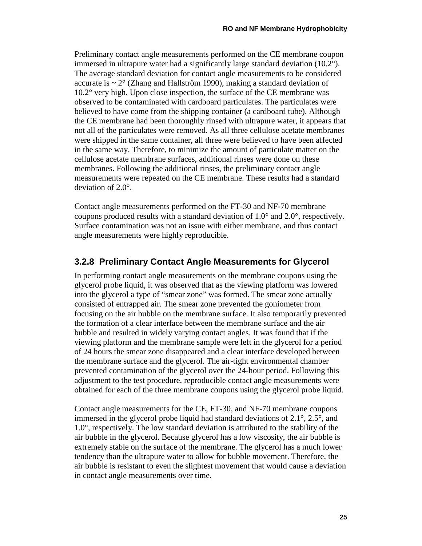Preliminary contact angle measurements performed on the CE membrane coupon immersed in ultrapure water had a significantly large standard deviation  $(10.2^{\circ})$ . The average standard deviation for contact angle measurements to be considered accurate is  $\sim 2^{\circ}$  (Zhang and Hallström 1990), making a standard deviation of 10.2° very high. Upon close inspection, the surface of the CE membrane was observed to be contaminated with cardboard particulates. The particulates were believed to have come from the shipping container (a cardboard tube). Although the CE membrane had been thoroughly rinsed with ultrapure water, it appears that not all of the particulates were removed. As all three cellulose acetate membranes were shipped in the same container, all three were believed to have been affected in the same way. Therefore, to minimize the amount of particulate matter on the cellulose acetate membrane surfaces, additional rinses were done on these membranes. Following the additional rinses, the preliminary contact angle measurements were repeated on the CE membrane. These results had a standard deviation of 2.0°.

Contact angle measurements performed on the FT-30 and NF-70 membrane coupons produced results with a standard deviation of 1.0° and 2.0°, respectively. Surface contamination was not an issue with either membrane, and thus contact angle measurements were highly reproducible.

#### <span id="page-34-0"></span>**3.2.8 Preliminary Contact Angle Measurements for Glycerol**

In performing contact angle measurements on the membrane coupons using the glycerol probe liquid, it was observed that as the viewing platform was lowered into the glycerol a type of "smear zone" was formed. The smear zone actually consisted of entrapped air. The smear zone prevented the goniometer from focusing on the air bubble on the membrane surface. It also temporarily prevented the formation of a clear interface between the membrane surface and the air bubble and resulted in widely varying contact angles. It was found that if the viewing platform and the membrane sample were left in the glycerol for a period of 24 hours the smear zone disappeared and a clear interface developed between the membrane surface and the glycerol. The air-tight environmental chamber prevented contamination of the glycerol over the 24-hour period. Following this adjustment to the test procedure, reproducible contact angle measurements were obtained for each of the three membrane coupons using the glycerol probe liquid.

Contact angle measurements for the CE, FT-30, and NF-70 membrane coupons immersed in the glycerol probe liquid had standard deviations of 2.1°, 2.5°, and 1.0°, respectively. The low standard deviation is attributed to the stability of the air bubble in the glycerol. Because glycerol has a low viscosity, the air bubble is extremely stable on the surface of the membrane. The glycerol has a much lower tendency than the ultrapure water to allow for bubble movement. Therefore, the air bubble is resistant to even the slightest movement that would cause a deviation in contact angle measurements over time.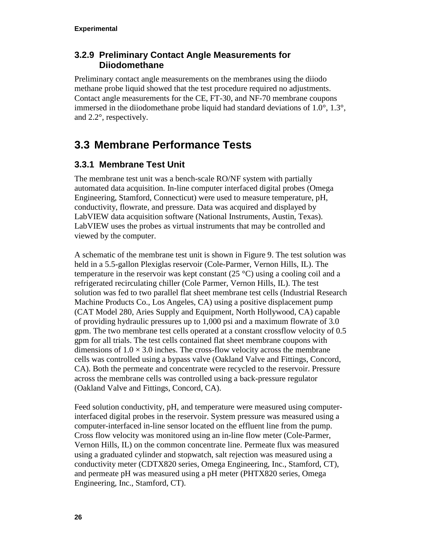#### <span id="page-35-0"></span>**3.2.9 Preliminary Contact Angle Measurements for Diiodomethane**

Preliminary contact angle measurements on the membranes using the diiodo methane probe liquid showed that the test procedure required no adjustments. Contact angle measurements for the CE, FT-30, and NF-70 membrane coupons immersed in the diiodomethane probe liquid had standard deviations of  $1.0^{\circ}$ ,  $1.3^{\circ}$ , and 2.2°, respectively.

# <span id="page-35-1"></span>**3.3 Membrane Performance Tests**

#### <span id="page-35-2"></span>**3.3.1 Membrane Test Unit**

The membrane test unit was a bench-scale RO/NF system with partially automated data acquisition. In-line computer interfaced digital probes (Omega Engineering, Stamford, Connecticut) were used to measure temperature, pH, conductivity, flowrate, and pressure. Data was acquired and displayed by LabVIEW data acquisition software (National Instruments, Austin, Texas). LabVIEW uses the probes as virtual instruments that may be controlled and viewed by the computer.

A schematic of the membrane test unit is shown in Figure 9. The test solution was held in a 5.5-gallon Plexiglas reservoir (Cole-Parmer, Vernon Hills, IL). The temperature in the reservoir was kept constant  $(25 \degree C)$  using a cooling coil and a refrigerated recirculating chiller (Cole Parmer, Vernon Hills, IL). The test solution was fed to two parallel flat sheet membrane test cells (Industrial Research Machine Products Co., Los Angeles, CA) using a positive displacement pump (CAT Model 280, Aries Supply and Equipment, North Hollywood, CA) capable of providing hydraulic pressures up to 1,000 psi and a maximum flowrate of 3.0 gpm. The two membrane test cells operated at a constant crossflow velocity of 0.5 gpm for all trials. The test cells contained flat sheet membrane coupons with dimensions of  $1.0 \times 3.0$  inches. The cross-flow velocity across the membrane cells was controlled using a bypass valve (Oakland Valve and Fittings, Concord, CA). Both the permeate and concentrate were recycled to the reservoir. Pressure across the membrane cells was controlled using a back-pressure regulator (Oakland Valve and Fittings, Concord, CA).

Feed solution conductivity, pH, and temperature were measured using computerinterfaced digital probes in the reservoir. System pressure was measured using a computer-interfaced in-line sensor located on the effluent line from the pump. Cross flow velocity was monitored using an in-line flow meter (Cole-Parmer, Vernon Hills, IL) on the common concentrate line. Permeate flux was measured using a graduated cylinder and stopwatch, salt rejection was measured using a conductivity meter (CDTX820 series, Omega Engineering, Inc., Stamford, CT), and permeate pH was measured using a pH meter (PHTX820 series, Omega Engineering, Inc., Stamford, CT).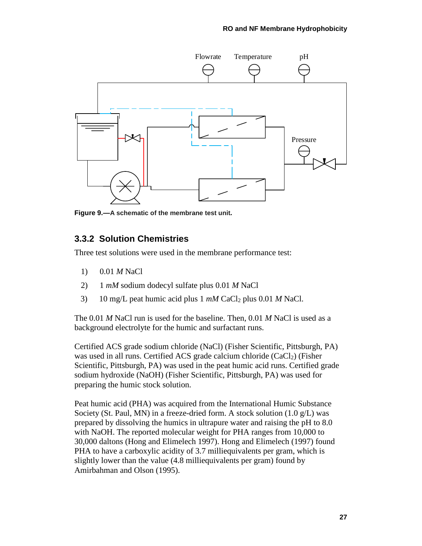

<span id="page-36-1"></span><span id="page-36-0"></span>**Figure 9.—A schematic of the membrane test unit.**

#### **3.3.2 Solution Chemistries**

Three test solutions were used in the membrane performance test:

- 1) 0.01 *M* NaCl
- 2) 1 *mM* sodium dodecyl sulfate plus 0.01 *M* NaCl
- 3) 10 mg/L peat humic acid plus 1 *mM* CaCl2 plus 0.01 *M* NaCl.

The 0.01 *M* NaCl run is used for the baseline. Then, 0.01 *M* NaCl is used as a background electrolyte for the humic and surfactant runs.

Certified ACS grade sodium chloride (NaCl) (Fisher Scientific, Pittsburgh, PA) was used in all runs. Certified ACS grade calcium chloride (CaCl<sub>2</sub>) (Fisher Scientific, Pittsburgh, PA) was used in the peat humic acid runs. Certified grade sodium hydroxide (NaOH) (Fisher Scientific, Pittsburgh, PA) was used for preparing the humic stock solution.

Peat humic acid (PHA) was acquired from the International Humic Substance Society (St. Paul, MN) in a freeze-dried form. A stock solution  $(1.0 \text{ g/L})$  was prepared by dissolving the humics in ultrapure water and raising the pH to 8.0 with NaOH. The reported molecular weight for PHA ranges from 10,000 to 30,000 daltons (Hong and Elimelech 1997). Hong and Elimelech (1997) found PHA to have a carboxylic acidity of 3.7 milliequivalents per gram, which is slightly lower than the value (4.8 milliequivalents per gram) found by Amirbahman and Olson (1995).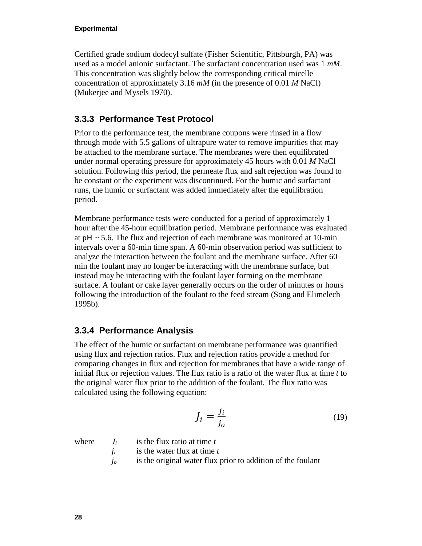#### **Experimental**

Certified grade sodium dodecyl sulfate (Fisher Scientific, Pittsburgh, PA) was used as a model anionic surfactant. The surfactant concentration used was 1 *mM*. This concentration was slightly below the corresponding critical micelle concentration of approximately 3.16 *mM* (in the presence of 0.01 *M* NaCl) (Mukerjee and Mysels 1970).

#### <span id="page-37-0"></span>**3.3.3 Performance Test Protocol**

Prior to the performance test, the membrane coupons were rinsed in a flow through mode with 5.5 gallons of ultrapure water to remove impurities that may be attached to the membrane surface. The membranes were then equilibrated under normal operating pressure for approximately 45 hours with 0.01 *M* NaCl solution. Following this period, the permeate flux and salt rejection was found to be constant or the experiment was discontinued. For the humic and surfactant runs, the humic or surfactant was added immediately after the equilibration period.

Membrane performance tests were conducted for a period of approximately 1 hour after the 45-hour equilibration period. Membrane performance was evaluated at  $pH \sim 5.6$ . The flux and rejection of each membrane was monitored at 10-min intervals over a 60-min time span. A 60-min observation period was sufficient to analyze the interaction between the foulant and the membrane surface. After 60 min the foulant may no longer be interacting with the membrane surface, but instead may be interacting with the foulant layer forming on the membrane surface. A foulant or cake layer generally occurs on the order of minutes or hours following the introduction of the foulant to the feed stream (Song and Elimelech 1995b).

#### <span id="page-37-1"></span>**3.3.4 Performance Analysis**

The effect of the humic or surfactant on membrane performance was quantified using flux and rejection ratios. Flux and rejection ratios provide a method for comparing changes in flux and rejection for membranes that have a wide range of initial flux or rejection values. The flux ratio is a ratio of the water flux at time *t* to the original water flux prior to the addition of the foulant. The flux ratio was calculated using the following equation:

$$
J_i = \frac{j_i}{j_o} \tag{19}
$$

where  $J_i$  is the flux ratio at time  $t$ 

- $j_i$  is the water flux at time  $t$
- *jo* is the original water flux prior to addition of the foulant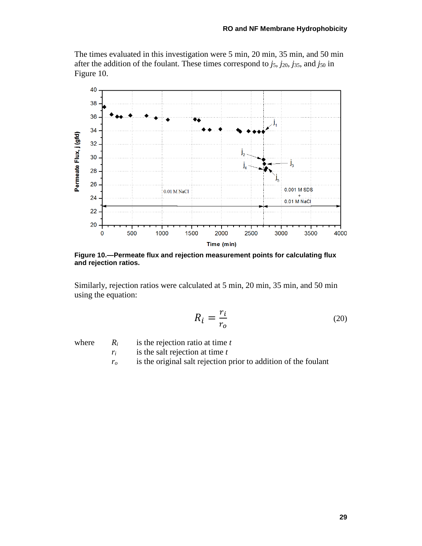The times evaluated in this investigation were 5 min, 20 min, 35 min, and 50 min after the addition of the foulant. These times correspond to *j*5, *j*20, *j*35, and *j*<sup>50</sup> in Figure 10.



<span id="page-38-0"></span>**Figure 10.—Permeate flux and rejection measurement points for calculating flux and rejection ratios.**

Similarly, rejection ratios were calculated at 5 min, 20 min, 35 min, and 50 min using the equation:

$$
R_i = \frac{r_i}{r_o} \tag{20}
$$

- where  $R_i$  is the rejection ratio at time  $t$ 
	- *ri* is the salt rejection at time *t*
	- *ro* is the original salt rejection prior to addition of the foulant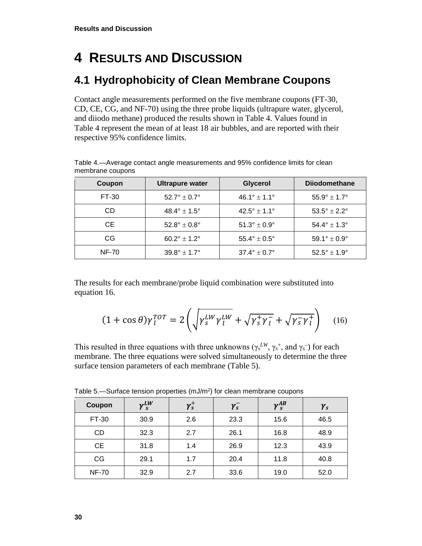# <span id="page-39-0"></span>**4 RESULTS AND DISCUSSION**

## <span id="page-39-1"></span>**4.1 Hydrophobicity of Clean Membrane Coupons**

Contact angle measurements performed on the five membrane coupons (FT-30, CD, CE, CG, and NF-70) using the three probe liquids (ultrapure water, glycerol, and diiodo methane) produced the results shown in Table 4. Values found in Table 4 represent the mean of at least 18 air bubbles, and are reported with their respective 95% confidence limits.

| Coupon       | Ultrapure water                | Glycerol                       | <b>Dijodomethane</b>           |
|--------------|--------------------------------|--------------------------------|--------------------------------|
| FT-30        | $52.7^{\circ} \pm 0.7^{\circ}$ | $46.1^{\circ} \pm 1.1^{\circ}$ | $55.9^{\circ} \pm 1.7^{\circ}$ |
| CD           | $48.4^{\circ} \pm 1.5^{\circ}$ | $42.5^{\circ}$ ± 1.1°          | $53.5^{\circ} \pm 2.2^{\circ}$ |
| CE.          | $52.8^{\circ} \pm 0.8^{\circ}$ | $51.3^\circ \pm 0.9^\circ$     | $54.4^{\circ} \pm 1.3^{\circ}$ |
| CG           | $60.2^{\circ}$ ± 1.2°          | $55.4^{\circ} \pm 0.5^{\circ}$ | $59.1^{\circ} \pm 0.9^{\circ}$ |
| <b>NF-70</b> | $39.8^{\circ} \pm 1.7^{\circ}$ | $37.4^{\circ} \pm 0.7^{\circ}$ | $52.5^{\circ} \pm 1.9^{\circ}$ |

<span id="page-39-2"></span>Table 4.—Average contact angle measurements and 95% confidence limits for clean membrane coupons

The results for each membrane/probe liquid combination were substituted into equation 16.

$$
(1 + \cos \theta) \gamma_l^{TOT} = 2 \left( \sqrt{\gamma_s^{LW} \gamma_l^{LW}} + \sqrt{\gamma_s^+ \gamma_l^-} + \sqrt{\gamma_s^- \gamma_l^+} \right) \quad (16)
$$

This resulted in three equations with three unknowns ( $\gamma_s^{LW}$ ,  $\gamma_s^+$ , and  $\gamma_s^-$ ) for each membrane. The three equations were solved simultaneously to determine the three surface tension parameters of each membrane (Table 5).

| Coupon       | $\gamma_s^{LW}$ | $\gamma_s^+$ | $\gamma_s^-$ | $\gamma^{AB}_s$ | $\gamma_s$ |
|--------------|-----------------|--------------|--------------|-----------------|------------|
| FT-30        | 30.9            | 2.6          | 23.3         | 15.6            | 46.5       |
| <b>CD</b>    | 32.3            | 2.7          | 26.1         | 16.8            | 48.9       |
| <b>CE</b>    | 31.8            | 1.4          | 26.9         | 12.3            | 43.9       |
| CG           | 29.1            | 1.7          | 20.4         | 11.8            | 40.8       |
| <b>NF-70</b> | 32.9            | 2.7          | 33.6         | 19.0            | 52.0       |

<span id="page-39-3"></span>Table 5.—Surface tension properties  $(mJ/m^2)$  for clean membrane coupons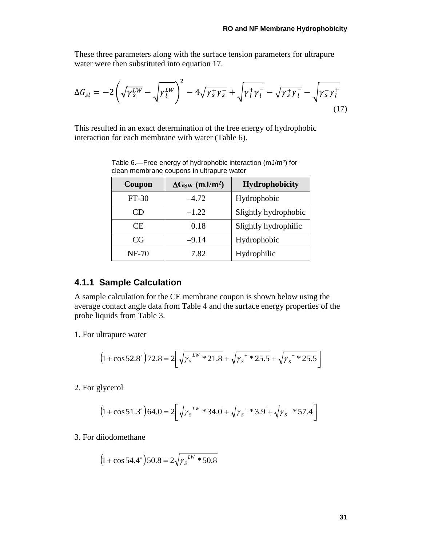These three parameters along with the surface tension parameters for ultrapure water were then substituted into equation 17.

$$
\Delta G_{sl} = -2\left(\sqrt{\gamma_S^{LW}} - \sqrt{\gamma_l^{LW}}\right)^2 - 4\sqrt{\gamma_S^+ \gamma_S^-} + \sqrt{\gamma_l^+ \gamma_l^-} - \sqrt{\gamma_S^+ \gamma_l^-} - \sqrt{\gamma_S^- \gamma_l^+} \tag{17}
$$

<span id="page-40-1"></span>This resulted in an exact determination of the free energy of hydrophobic interaction for each membrane with water (Table 6).

| Coupon       | $\Delta G_{SW}$ (mJ/m <sup>2</sup> ) | Hydrophobicity       |
|--------------|--------------------------------------|----------------------|
| $FT-30$      | $-4.72$                              | Hydrophobic          |
| CD           | $-1.22$                              | Slightly hydrophobic |
| CE.          | 0.18                                 | Slightly hydrophilic |
| CG           | $-9.14$                              | Hydrophobic          |
| <b>NF-70</b> | 7.82                                 | Hydrophilic          |

Table 6.—Free energy of hydrophobic interaction (mJ/m2) for clean membrane coupons in ultrapure water

#### <span id="page-40-0"></span>**4.1.1 Sample Calculation**

A sample calculation for the CE membrane coupon is shown below using the average contact angle data from Table 4 and the surface energy properties of the probe liquids from Table 3.

1. For ultrapure water

$$
(1 + \cos 52.8^\circ) 72.8 = 2 \left[ \sqrt{\gamma_s}^{\frac{LW}{2}} 21.8 + \sqrt{\gamma_s^{\frac{1}{2}}} 25.5 + \sqrt{\gamma_s^{\frac{1}{2}}} 25.5 \right]
$$

2. For glycerol

$$
(1 + \cos 51.3^{\circ}) 64.0 = 2 \left[ \sqrt{\gamma_s}^{LW} * 34.0 + \sqrt{\gamma_s^{\prime *} * 3.9} + \sqrt{\gamma_s^{\prime *} * 57.4} \right]
$$

3. For diiodomethane

$$
(1 + \cos 54.4^{\circ}) 50.8 = 2 \sqrt{\gamma_s}^{\text{LW}} * 50.8
$$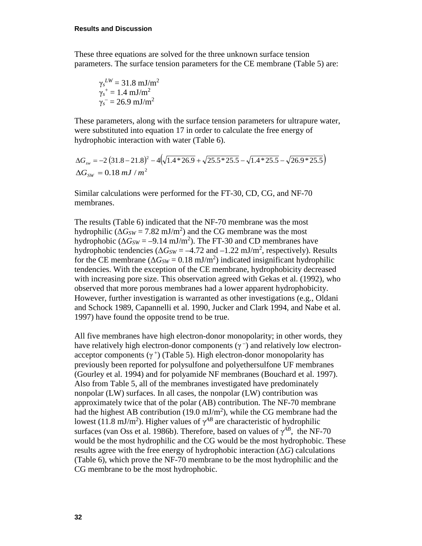These three equations are solved for the three unknown surface tension parameters. The surface tension parameters for the CE membrane (Table 5) are:

$$
\gamma_s^{LW} = 31.8 \text{ mJ/m}^2
$$
  

$$
\gamma_s^+ = 1.4 \text{ mJ/m}^2
$$
  

$$
\gamma_s^- = 26.9 \text{ mJ/m}^2
$$

These parameters, along with the surface tension parameters for ultrapure water, were substituted into equation 17 in order to calculate the free energy of hydrophobic interaction with water (Table 6).

$$
\Delta G_{sw} = -2 (31.8 - 21.8)^2 - 4(\sqrt{1.4 \times 26.9} + \sqrt{25.5 \times 25.5} - \sqrt{1.4 \times 25.5} - \sqrt{26.9 \times 25.5})
$$
  
 
$$
\Delta G_{SW} = 0.18 \, \text{mJ} / \text{m}^2
$$

Similar calculations were performed for the FT-30, CD, CG, and NF-70 membranes.

The results (Table 6) indicated that the NF-70 membrane was the most hydrophilic ( $\Delta G_{SW} = 7.82 \text{ mJ/m}^2$ ) and the CG membrane was the most hydrophobic ( $\Delta G_{SW} = -9.14 \text{ mJ/m}^2$ ). The FT-30 and CD membranes have hydrophobic tendencies  $(\Delta G_{SW} = -4.72 \text{ and } -1.22 \text{ mJ/m}^2$ , respectively). Results for the CE membrane  $(\Delta G_{SW} = 0.18 \text{ mJ/m}^2)$  indicated insignificant hydrophilic tendencies. With the exception of the CE membrane, hydrophobicity decreased with increasing pore size. This observation agreed with Gekas et al. (1992), who observed that more porous membranes had a lower apparent hydrophobicity. However, further investigation is warranted as other investigations (e.g., Oldani and Schock 1989, Capannelli et al. 1990, Jucker and Clark 1994, and Nabe et al. 1997) have found the opposite trend to be true.

All five membranes have high electron-donor monopolarity; in other words, they have relatively high electron-donor components  $(\gamma^-)$  and relatively low electronacceptor components  $(\gamma^+)$  (Table 5). High electron-donor monopolarity has previously been reported for polysulfone and polyethersulfone UF membranes (Gourley et al. 1994) and for polyamide NF membranes (Bouchard et al. 1997). Also from Table 5, all of the membranes investigated have predominately nonpolar (LW) surfaces. In all cases, the nonpolar (LW) contribution was approximately twice that of the polar (AB) contribution. The NF-70 membrane had the highest AB contribution (19.0 mJ/m<sup>2</sup>), while the CG membrane had the lowest (11.8 mJ/m<sup>2</sup>). Higher values of  $\gamma^{AB}$  are characteristic of hydrophilic surfaces (van Oss et al. 1986b). Therefore, based on values of  $\gamma^{AB}$ , the NF-70 would be the most hydrophilic and the CG would be the most hydrophobic. These results agree with the free energy of hydrophobic interaction  $(\Delta G)$  calculations (Table 6), which prove the NF-70 membrane to be the most hydrophilic and the CG membrane to be the most hydrophobic.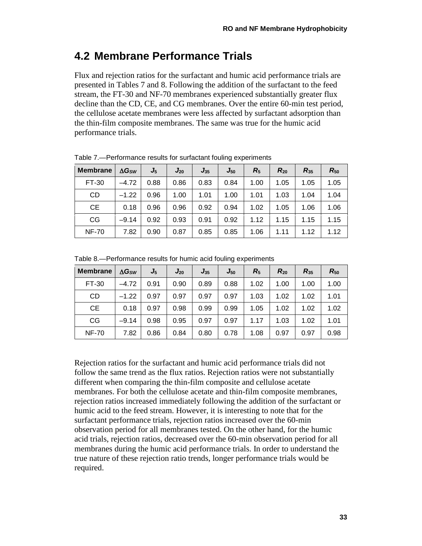### <span id="page-42-0"></span>**4.2 Membrane Performance Trials**

Flux and rejection ratios for the surfactant and humic acid performance trials are presented in Tables 7 and 8. Following the addition of the surfactant to the feed stream, the FT-30 and NF-70 membranes experienced substantially greater flux decline than the CD, CE, and CG membranes. Over the entire 60-min test period, the cellulose acetate membranes were less affected by surfactant adsorption than the thin-film composite membranes. The same was true for the humic acid performance trials.

| <b>Membrane</b> | $\Delta G$ sw | J5   | $J_{20}$ | $J_{35}$ | $J_{50}$ | R5   | $R_{20}$ | $R_{35}$ | $R_{50}$ |
|-----------------|---------------|------|----------|----------|----------|------|----------|----------|----------|
| FT-30           | $-4.72$       | 0.88 | 0.86     | 0.83     | 0.84     | 1.00 | 1.05     | 1.05     | 1.05     |
| <b>CD</b>       | $-1.22$       | 0.96 | 1.00     | 1.01     | 1.00     | 1.01 | 1.03     | 1.04     | 1.04     |
| <b>CE</b>       | 0.18          | 0.96 | 0.96     | 0.92     | 0.94     | 1.02 | 1.05     | 1.06     | 1.06     |
| CG              | $-9.14$       | 0.92 | 0.93     | 0.91     | 0.92     | 1.12 | 1.15     | 1.15     | 1.15     |
| <b>NF-70</b>    | 7.82          | 0.90 | 0.87     | 0.85     | 0.85     | 1.06 | 1.11     | 1.12     | 1.12     |

<span id="page-42-1"></span>Table 7.—Performance results for surfactant fouling experiments

<span id="page-42-2"></span>

| Table 8.-Performance results for humic acid fouling experiments |  |  |  |
|-----------------------------------------------------------------|--|--|--|
|-----------------------------------------------------------------|--|--|--|

| <b>Membrane</b> | $\Delta G$ sw | $J_5$ | $J_{20}$ | $J_{35}$ | $J_{50}$ | $R_5$ | $R_{20}$ | $R_{35}$ | $R_{50}$ |
|-----------------|---------------|-------|----------|----------|----------|-------|----------|----------|----------|
| FT-30           | $-4.72$       | 0.91  | 0.90     | 0.89     | 0.88     | 1.02  | 1.00     | 1.00     | 1.00     |
| <b>CD</b>       | $-1.22$       | 0.97  | 0.97     | 0.97     | 0.97     | 1.03  | 1.02     | 1.02     | 1.01     |
| CE.             | 0.18          | 0.97  | 0.98     | 0.99     | 0.99     | 1.05  | 1.02     | 1.02     | 1.02     |
| CG              | $-9.14$       | 0.98  | 0.95     | 0.97     | 0.97     | 1.17  | 1.03     | 1.02     | 1.01     |
| <b>NF-70</b>    | 7.82          | 0.86  | 0.84     | 0.80     | 0.78     | 1.08  | 0.97     | 0.97     | 0.98     |

Rejection ratios for the surfactant and humic acid performance trials did not follow the same trend as the flux ratios. Rejection ratios were not substantially different when comparing the thin-film composite and cellulose acetate membranes. For both the cellulose acetate and thin-film composite membranes, rejection ratios increased immediately following the addition of the surfactant or humic acid to the feed stream. However, it is interesting to note that for the surfactant performance trials, rejection ratios increased over the 60-min observation period for all membranes tested. On the other hand, for the humic acid trials, rejection ratios, decreased over the 60-min observation period for all membranes during the humic acid performance trials. In order to understand the true nature of these rejection ratio trends, longer performance trials would be required.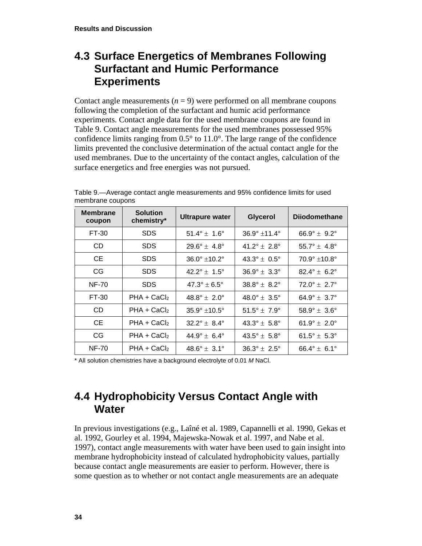### <span id="page-43-0"></span>**4.3 Surface Energetics of Membranes Following Surfactant and Humic Performance Experiments**

Contact angle measurements  $(n = 9)$  were performed on all membrane coupons following the completion of the surfactant and humic acid performance experiments. Contact angle data for the used membrane coupons are found in Table 9. Contact angle measurements for the used membranes possessed 95% confidence limits ranging from  $0.5^{\circ}$  to  $11.0^{\circ}$ . The large range of the confidence limits prevented the conclusive determination of the actual contact angle for the used membranes. Due to the uncertainty of the contact angles, calculation of the surface energetics and free energies was not pursued.

| <b>Membrane</b><br>coupon | <b>Solution</b><br>chemistry* | <b>Ultrapure water</b>         | Glycerol                       | <b>Diiodomethane</b>           |
|---------------------------|-------------------------------|--------------------------------|--------------------------------|--------------------------------|
| FT-30                     | <b>SDS</b>                    | 51.4° $\pm$ 1.6°               | $36.9^{\circ}$ ±11.4°          | 66.9° $\pm$ 9.2°               |
| CD                        | <b>SDS</b>                    | $29.6^{\circ} \pm 4.8^{\circ}$ | $41.2^{\circ} \pm 2.8^{\circ}$ | $55.7^{\circ}$ ± 4.8°          |
| <b>CE</b>                 | <b>SDS</b>                    | $36.0^{\circ}$ ±10.2°          | 43.3° $\pm$ 0.5°               | $70.9^{\circ}$ ±10.8°          |
| CG                        | <b>SDS</b>                    | $42.2^{\circ} \pm 1.5^{\circ}$ | $36.9^{\circ} \pm 3.3^{\circ}$ | $82.4^{\circ} \pm 6.2^{\circ}$ |
| <b>NF-70</b>              | <b>SDS</b>                    | $47.3^{\circ} \pm 6.5^{\circ}$ | $38.8^{\circ} \pm 8.2^{\circ}$ | $72.0^{\circ} \pm 2.7^{\circ}$ |
| FT-30                     | $PHA + CaCl2$                 | $48.8^{\circ} \pm 2.0^{\circ}$ | $48.0^{\circ} \pm 3.5^{\circ}$ | $64.9^{\circ} \pm 3.7^{\circ}$ |
| CD                        | $PHA + CaCl2$                 | $35.9^{\circ}$ ±10.5°          | $51.5^{\circ}$ ± $7.9^{\circ}$ | $58.9^{\circ} \pm 3.6^{\circ}$ |
| <b>CE</b>                 | $PHA + CaCl2$                 | $32.2^{\circ} \pm 8.4^{\circ}$ | $43.3^{\circ} \pm 5.8^{\circ}$ | 61.9° $\pm$ 2.0°               |
| CG                        | $PHA + CaCl2$                 | $44.9^{\circ} \pm 6.4^{\circ}$ | $43.5^{\circ} \pm 5.8^{\circ}$ | 61.5° $\pm$ 5.3°               |
| <b>NF-70</b>              | $PHA + CaCl2$                 | $48.6^{\circ} \pm 3.1^{\circ}$ | $36.3^{\circ} \pm 2.5^{\circ}$ | $66.4^{\circ} \pm 6.1^{\circ}$ |

<span id="page-43-2"></span>Table 9.—Average contact angle measurements and 95% confidence limits for used membrane coupons

\* All solution chemistries have a background electrolyte of 0.01 *M* NaCl.

### <span id="page-43-1"></span>**4.4 Hydrophobicity Versus Contact Angle with Water**

In previous investigations (e.g., Laîné et al. 1989, Capannelli et al. 1990, Gekas et al. 1992, Gourley et al. 1994, Majewska-Nowak et al. 1997, and Nabe et al. 1997), contact angle measurements with water have been used to gain insight into membrane hydrophobicity instead of calculated hydrophobicity values, partially because contact angle measurements are easier to perform. However, there is some question as to whether or not contact angle measurements are an adequate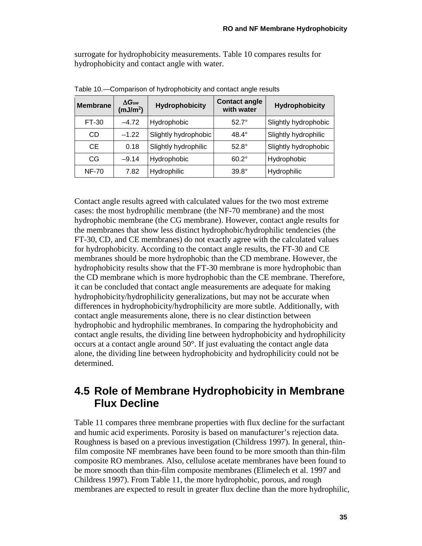surrogate for hydrophobicity measurements. Table 10 compares results for hydrophobicity and contact angle with water.

| <b>Membrane</b> | $\Delta G_{sw}$<br>(mJ/m <sup>2</sup> ) | <b>Hydrophobicity</b> | <b>Contact angle</b><br>with water | <b>Hydrophobicity</b> |
|-----------------|-----------------------------------------|-----------------------|------------------------------------|-----------------------|
| FT-30           | $-4.72$                                 | Hydrophobic           | $527^\circ$                        | Slightly hydrophobic  |
| CD              | $-1.22$                                 | Slightly hydrophobic  | $48.4^\circ$                       | Slightly hydrophilic  |
| <b>CE</b>       | 0.18                                    | Slightly hydrophilic  | $52.8^\circ$                       | Slightly hydrophobic  |
| CG              | $-9.14$                                 | Hydrophobic           | $60.2^\circ$                       | Hydrophobic           |
| <b>NF-70</b>    | 7.82                                    | Hydrophilic           | $39.8^\circ$                       | Hydrophilic           |

<span id="page-44-1"></span>Table 10.—Comparison of hydrophobicity and contact angle results

Contact angle results agreed with calculated values for the two most extreme cases: the most hydrophilic membrane (the NF-70 membrane) and the most hydrophobic membrane (the CG membrane). However, contact angle results for the membranes that show less distinct hydrophobic/hydrophilic tendencies (the FT-30, CD, and CE membranes) do not exactly agree with the calculated values for hydrophobicity. According to the contact angle results, the FT-30 and CE membranes should be more hydrophobic than the CD membrane. However, the hydrophobicity results show that the FT-30 membrane is more hydrophobic than the CD membrane which is more hydrophobic than the CE membrane. Therefore, it can be concluded that contact angle measurements are adequate for making hydrophobicity/hydrophilicity generalizations, but may not be accurate when differences in hydrophobicity/hydrophilicity are more subtle. Additionally, with contact angle measurements alone, there is no clear distinction between hydrophobic and hydrophilic membranes. In comparing the hydrophobicity and contact angle results, the dividing line between hydrophobicity and hydrophilicity occurs at a contact angle around 50°. If just evaluating the contact angle data alone, the dividing line between hydrophobicity and hydrophilicity could not be determined.

### <span id="page-44-0"></span>**4.5 Role of Membrane Hydrophobicity in Membrane Flux Decline**

Table 11 compares three membrane properties with flux decline for the surfactant and humic acid experiments. Porosity is based on manufacturer's rejection data. Roughness is based on a previous investigation (Childress 1997). In general, thinfilm composite NF membranes have been found to be more smooth than thin-film composite RO membranes. Also, cellulose acetate membranes have been found to be more smooth than thin-film composite membranes (Elimelech et al. 1997 and Childress 1997). From Table 11, the more hydrophobic, porous, and rough membranes are expected to result in greater flux decline than the more hydrophilic,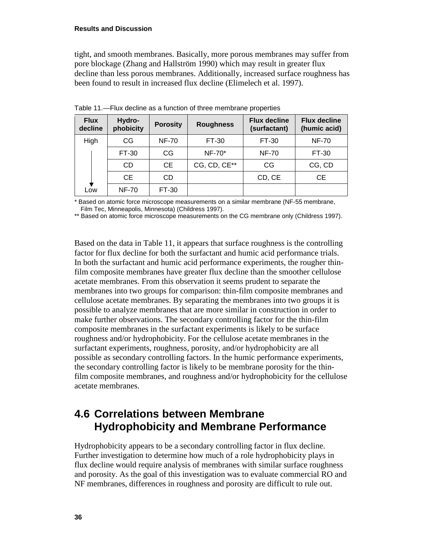#### **Results and Discussion**

tight, and smooth membranes. Basically, more porous membranes may suffer from pore blockage (Zhang and Hallström 1990) which may result in greater flux decline than less porous membranes. Additionally, increased surface roughness has been found to result in increased flux decline (Elimelech et al. 1997).

| <b>Flux</b><br>decline | Hydro-<br>phobicity | <b>Porosity</b> | <b>Roughness</b> | <b>Flux decline</b><br>(surfactant) | <b>Flux decline</b><br>(humic acid) |
|------------------------|---------------------|-----------------|------------------|-------------------------------------|-------------------------------------|
| High                   | CG                  | <b>NF-70</b>    | FT-30            | FT-30                               | <b>NF-70</b>                        |
|                        | FT-30               | CG              | NF-70*           | <b>NF-70</b>                        | FT-30                               |
|                        | <b>CD</b>           | CE              | CG, CD, CE**     | CG                                  | CG, CD                              |
|                        | <b>CE</b>           | CD              |                  | CD, CE                              | <b>CE</b>                           |
| Low                    | <b>NF-70</b>        | FT-30           |                  |                                     |                                     |

<span id="page-45-1"></span>Table 11.—Flux decline as a function of three membrane properties

\* Based on atomic force microscope measurements on a similar membrane (NF-55 membrane, Film Tec, Minneapolis, Minnesota) (Childress 1997).

\*\* Based on atomic force microscope measurements on the CG membrane only (Childress 1997).

Based on the data in Table 11, it appears that surface roughness is the controlling factor for flux decline for both the surfactant and humic acid performance trials. In both the surfactant and humic acid performance experiments, the rougher thinfilm composite membranes have greater flux decline than the smoother cellulose acetate membranes. From this observation it seems prudent to separate the membranes into two groups for comparison: thin-film composite membranes and cellulose acetate membranes. By separating the membranes into two groups it is possible to analyze membranes that are more similar in construction in order to make further observations. The secondary controlling factor for the thin-film composite membranes in the surfactant experiments is likely to be surface roughness and/or hydrophobicity. For the cellulose acetate membranes in the surfactant experiments, roughness, porosity, and/or hydrophobicity are all possible as secondary controlling factors. In the humic performance experiments, the secondary controlling factor is likely to be membrane porosity for the thinfilm composite membranes, and roughness and/or hydrophobicity for the cellulose acetate membranes.

### <span id="page-45-0"></span>**4.6 Correlations between Membrane Hydrophobicity and Membrane Performance**

Hydrophobicity appears to be a secondary controlling factor in flux decline. Further investigation to determine how much of a role hydrophobicity plays in flux decline would require analysis of membranes with similar surface roughness and porosity. As the goal of this investigation was to evaluate commercial RO and NF membranes, differences in roughness and porosity are difficult to rule out.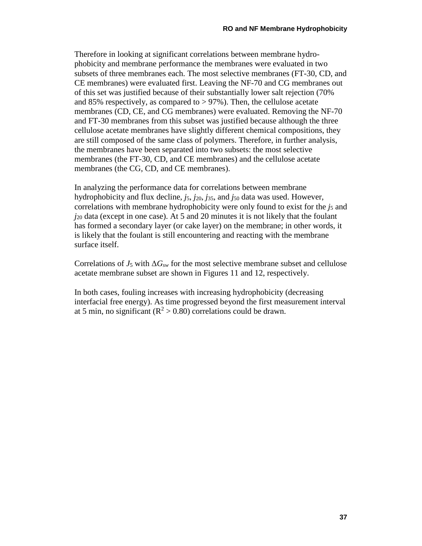Therefore in looking at significant correlations between membrane hydrophobicity and membrane performance the membranes were evaluated in two subsets of three membranes each. The most selective membranes (FT-30, CD, and CE membranes) were evaluated first. Leaving the NF-70 and CG membranes out of this set was justified because of their substantially lower salt rejection (70% and 85% respectively, as compared to  $> 97\%$ ). Then, the cellulose acetate membranes (CD, CE, and CG membranes) were evaluated. Removing the NF-70 and FT-30 membranes from this subset was justified because although the three cellulose acetate membranes have slightly different chemical compositions, they are still composed of the same class of polymers. Therefore, in further analysis, the membranes have been separated into two subsets: the most selective membranes (the FT-30, CD, and CE membranes) and the cellulose acetate membranes (the CG, CD, and CE membranes).

In analyzing the performance data for correlations between membrane hydrophobicity and flux decline, *j*5, *j*20, *j*35, and *j*<sup>50</sup> data was used. However, correlations with membrane hydrophobicity were only found to exist for the *j*<sub>5</sub> and *j*<sup>20</sup> data (except in one case). At 5 and 20 minutes it is not likely that the foulant has formed a secondary layer (or cake layer) on the membrane; in other words, it is likely that the foulant is still encountering and reacting with the membrane surface itself.

Correlations of  $J_5$  with  $\Delta G_{sw}$  for the most selective membrane subset and cellulose acetate membrane subset are shown in Figures 11 and 12, respectively.

In both cases, fouling increases with increasing hydrophobicity (decreasing interfacial free energy). As time progressed beyond the first measurement interval at 5 min, no significant ( $\mathbb{R}^2$  > 0.80) correlations could be drawn.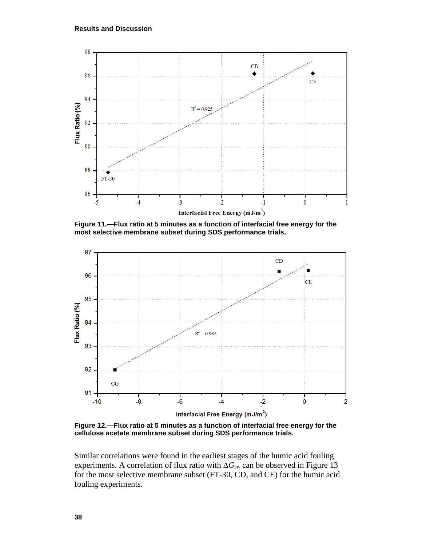

<span id="page-47-0"></span>**Figure 11.—Flux ratio at 5 minutes as a function of interfacial free energy for the most selective membrane subset during SDS performance trials.**



<span id="page-47-1"></span>**Figure 12.—Flux ratio at 5 minutes as a function of interfacial free energy for the cellulose acetate membrane subset during SDS performance trials.**

Similar correlations were found in the earliest stages of the humic acid fouling experiments. A correlation of flux ratio with Δ*Gsw* can be observed in Figure 13 for the most selective membrane subset (FT-30, CD, and CE) for the humic acid fouling experiments.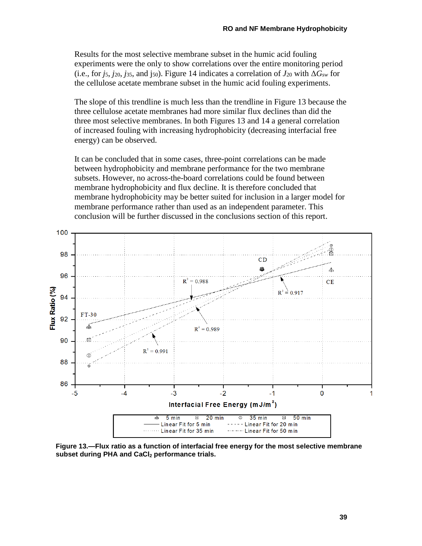Results for the most selective membrane subset in the humic acid fouling experiments were the only to show correlations over the entire monitoring period (i.e., for *j<sub>5</sub>*, *j*<sub>20</sub>, *j*<sub>35</sub>, and j<sub>50</sub>). Figure 14 indicates a correlation of  $J_{20}$  with  $\Delta G_{sw}$  for the cellulose acetate membrane subset in the humic acid fouling experiments.

The slope of this trendline is much less than the trendline in Figure 13 because the three cellulose acetate membranes had more similar flux declines than did the three most selective membranes. In both Figures 13 and 14 a general correlation of increased fouling with increasing hydrophobicity (decreasing interfacial free energy) can be observed.

It can be concluded that in some cases, three-point correlations can be made between hydrophobicity and membrane performance for the two membrane subsets. However, no across-the-board correlations could be found between membrane hydrophobicity and flux decline. It is therefore concluded that membrane hydrophobicity may be better suited for inclusion in a larger model for membrane performance rather than used as an independent parameter. This conclusion will be further discussed in the conclusions section of this report.



<span id="page-48-0"></span>**Figure 13.—Flux ratio as a function of interfacial free energy for the most selective membrane**  subset during PHA and CaCl<sub>2</sub> performance trials.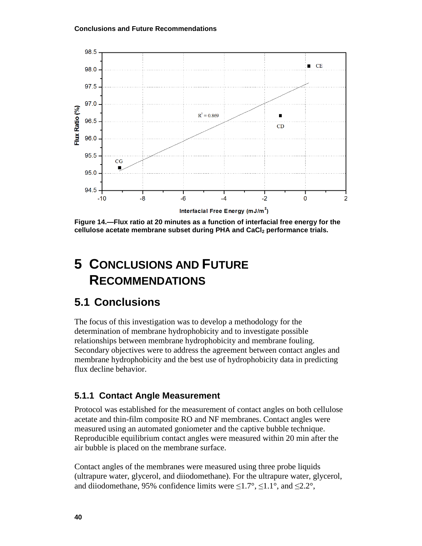

<span id="page-49-3"></span>**Figure 14.—Flux ratio at 20 minutes as a function of interfacial free energy for the cellulose acetate membrane subset during PHA and CaCl2 performance trials.**

# <span id="page-49-0"></span>**5 CONCLUSIONS AND FUTURE RECOMMENDATIONS**

### <span id="page-49-1"></span>**5.1 Conclusions**

The focus of this investigation was to develop a methodology for the determination of membrane hydrophobicity and to investigate possible relationships between membrane hydrophobicity and membrane fouling. Secondary objectives were to address the agreement between contact angles and membrane hydrophobicity and the best use of hydrophobicity data in predicting flux decline behavior.

#### <span id="page-49-2"></span>**5.1.1 Contact Angle Measurement**

Protocol was established for the measurement of contact angles on both cellulose acetate and thin-film composite RO and NF membranes. Contact angles were measured using an automated goniometer and the captive bubble technique. Reproducible equilibrium contact angles were measured within 20 min after the air bubble is placed on the membrane surface.

Contact angles of the membranes were measured using three probe liquids (ultrapure water, glycerol, and diiodomethane). For the ultrapure water, glycerol, and diiodomethane, 95% confidence limits were  $\leq 1.7^{\circ}$ ,  $\leq 1.1^{\circ}$ , and  $\leq 2.2^{\circ}$ ,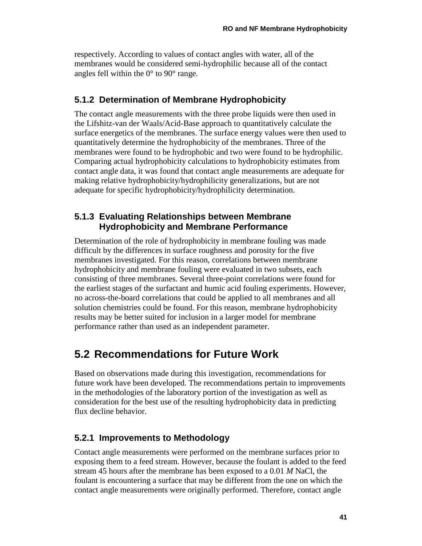respectively. According to values of contact angles with water, all of the membranes would be considered semi-hydrophilic because all of the contact angles fell within the  $0^{\circ}$  to  $90^{\circ}$  range.

#### <span id="page-50-0"></span>**5.1.2 Determination of Membrane Hydrophobicity**

The contact angle measurements with the three probe liquids were then used in the Lifshitz-van der Waals/Acid-Base approach to quantitatively calculate the surface energetics of the membranes. The surface energy values were then used to quantitatively determine the hydrophobicity of the membranes. Three of the membranes were found to be hydrophobic and two were found to be hydrophilic. Comparing actual hydrophobicity calculations to hydrophobicity estimates from contact angle data, it was found that contact angle measurements are adequate for making relative hydrophobicity/hydrophilicity generalizations, but are not adequate for specific hydrophobicity/hydrophilicity determination.

#### <span id="page-50-1"></span>**5.1.3 Evaluating Relationships between Membrane Hydrophobicity and Membrane Performance**

Determination of the role of hydrophobicity in membrane fouling was made difficult by the differences in surface roughness and porosity for the five membranes investigated. For this reason, correlations between membrane hydrophobicity and membrane fouling were evaluated in two subsets, each consisting of three membranes. Several three-point correlations were found for the earliest stages of the surfactant and humic acid fouling experiments. However, no across-the-board correlations that could be applied to all membranes and all solution chemistries could be found. For this reason, membrane hydrophobicity results may be better suited for inclusion in a larger model for membrane performance rather than used as an independent parameter.

# <span id="page-50-2"></span>**5.2 Recommendations for Future Work**

Based on observations made during this investigation, recommendations for future work have been developed. The recommendations pertain to improvements in the methodologies of the laboratory portion of the investigation as well as consideration for the best use of the resulting hydrophobicity data in predicting flux decline behavior.

#### <span id="page-50-3"></span>**5.2.1 Improvements to Methodology**

Contact angle measurements were performed on the membrane surfaces prior to exposing them to a feed stream. However, because the foulant is added to the feed stream 45 hours after the membrane has been exposed to a 0.01 *M* NaCl, the foulant is encountering a surface that may be different from the one on which the contact angle measurements were originally performed. Therefore, contact angle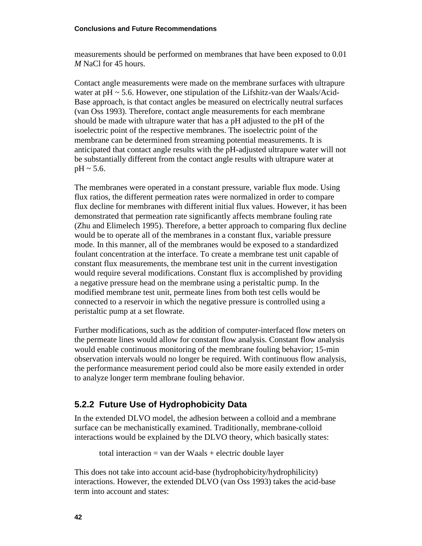measurements should be performed on membranes that have been exposed to 0.01 *M* NaCl for 45 hours.

Contact angle measurements were made on the membrane surfaces with ultrapure water at  $pH \sim 5.6$ . However, one stipulation of the Lifshitz-van der Waals/Acid-Base approach, is that contact angles be measured on electrically neutral surfaces (van Oss 1993). Therefore, contact angle measurements for each membrane should be made with ultrapure water that has a pH adjusted to the pH of the isoelectric point of the respective membranes. The isoelectric point of the membrane can be determined from streaming potential measurements. It is anticipated that contact angle results with the pH-adjusted ultrapure water will not be substantially different from the contact angle results with ultrapure water at  $pH \sim 5.6$ .

The membranes were operated in a constant pressure, variable flux mode. Using flux ratios, the different permeation rates were normalized in order to compare flux decline for membranes with different initial flux values. However, it has been demonstrated that permeation rate significantly affects membrane fouling rate (Zhu and Elimelech 1995). Therefore, a better approach to comparing flux decline would be to operate all of the membranes in a constant flux, variable pressure mode. In this manner, all of the membranes would be exposed to a standardized foulant concentration at the interface. To create a membrane test unit capable of constant flux measurements, the membrane test unit in the current investigation would require several modifications. Constant flux is accomplished by providing a negative pressure head on the membrane using a peristaltic pump. In the modified membrane test unit, permeate lines from both test cells would be connected to a reservoir in which the negative pressure is controlled using a peristaltic pump at a set flowrate.

Further modifications, such as the addition of computer-interfaced flow meters on the permeate lines would allow for constant flow analysis. Constant flow analysis would enable continuous monitoring of the membrane fouling behavior; 15-min observation intervals would no longer be required. With continuous flow analysis, the performance measurement period could also be more easily extended in order to analyze longer term membrane fouling behavior.

#### <span id="page-51-0"></span>**5.2.2 Future Use of Hydrophobicity Data**

In the extended DLVO model, the adhesion between a colloid and a membrane surface can be mechanistically examined. Traditionally, membrane-colloid interactions would be explained by the DLVO theory, which basically states:

total interaction = van der Waals + electric double layer

This does not take into account acid-base (hydrophobicity/hydrophilicity) interactions. However, the extended DLVO (van Oss 1993) takes the acid-base term into account and states: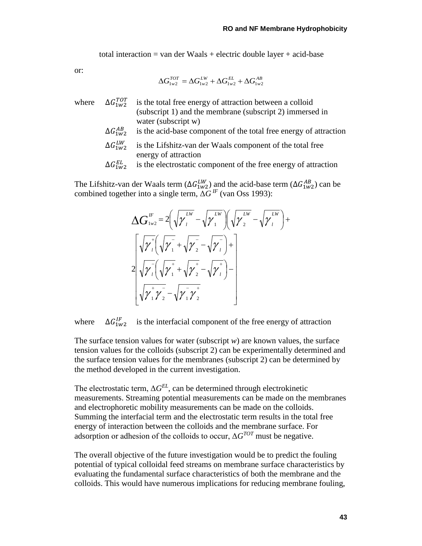total interaction = van der Waals + electric double layer + acid-base

or:

$$
\Delta G_{1w2}^{TOT} = \Delta G_{1w2}^{LW} + \Delta G_{1w2}^{EL} + \Delta G_{1w2}^{AB}
$$

- where  $\Delta G_{1w2}^{TOT}$  is the total free energy of attraction between a colloid (subscript 1) and the membrane (subscript 2) immersed in water (subscript w)
	- $\Delta G_{1W2}^{AB}$ is the acid-base component of the total free energy of attraction
	- $\Delta G_{1W2}^{LW}$  is the Lifshitz-van der Waals component of the total free energy of attraction
	- $\Delta G_{1W2}^{EL}$ is the electrostatic component of the free energy of attraction

The Lifshitz-van der Waals term ( $\Delta G_{1w2}^{LW}$ ) and the acid-base term ( $\Delta G_{1w2}^{AB}$ ) can be combined together into a single term, Δ*G IF* (van Oss 1993):

$$
\Delta G_{1w2}^{IF} = 2\left(\sqrt{\gamma_i^{LW}} - \sqrt{\gamma_i^{LW}}\right)\left(\sqrt{\gamma_i^{LW}} - \sqrt{\gamma_i^{LW}}\right) + \frac{\left[\sqrt{\gamma_i^{LW}}\sqrt{\gamma_i^{LW}} + \sqrt{\gamma_i^{LW}}\right]^{2}}{\sqrt{\gamma_i^{LW}}\left(\sqrt{\gamma_i^{LW}} + \sqrt{\gamma_i^{LW}} - \sqrt{\gamma_i^{LW}}\right)^{-1}}
$$
\n
$$
\frac{2\sqrt{\gamma_i^{LW}}\sqrt{\gamma_i^{LW}} - \sqrt{\gamma_i^{LW}}\sqrt{\gamma_i^{LW}}}{\sqrt{\gamma_i^{LW}}\sqrt{\gamma_i^{LW}}}
$$

where  $\Delta G_{1w2}^{IF}$ is the interfacial component of the free energy of attraction

The surface tension values for water (subscript *w*) are known values, the surface tension values for the colloids (subscript 2) can be experimentally determined and the surface tension values for the membranes (subscript 2) can be determined by the method developed in the current investigation.

The electrostatic term,  $\Delta G^{EL}$ , can be determined through electrokinetic measurements. Streaming potential measurements can be made on the membranes and electrophoretic mobility measurements can be made on the colloids. Summing the interfacial term and the electrostatic term results in the total free energy of interaction between the colloids and the membrane surface. For adsorption or adhesion of the colloids to occur,  $\Delta G^{TOT}$  must be negative.

The overall objective of the future investigation would be to predict the fouling potential of typical colloidal feed streams on membrane surface characteristics by evaluating the fundamental surface characteristics of both the membrane and the colloids. This would have numerous implications for reducing membrane fouling,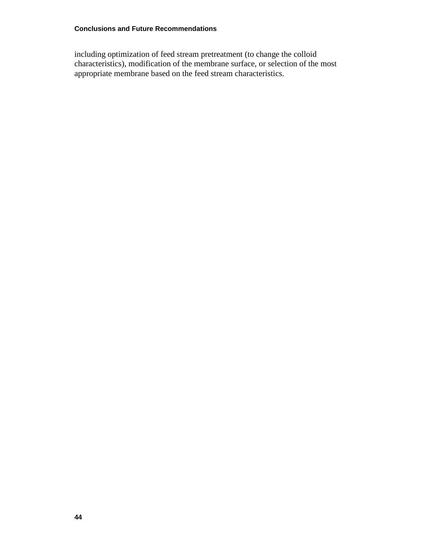including optimization of feed stream pretreatment (to change the colloid characteristics), modification of the membrane surface, or selection of the most appropriate membrane based on the feed stream characteristics.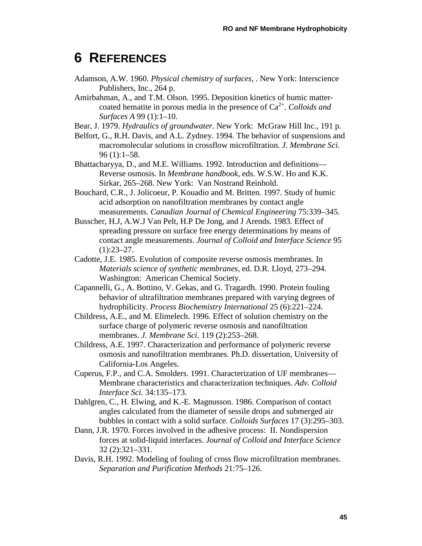# <span id="page-54-0"></span>**6 REFERENCES**

- Adamson, A.W. 1960. *Physical chemistry of surfaces*, . New York: Interscience Publishers, Inc., 264 p.
- Amirbahman, A., and T.M. Olson. 1995. Deposition kinetics of humic mattercoated hematite in porous media in the presence of  $Ca<sup>2+</sup>$ . *Colloids and Surfaces A* 99 (1):1–10.
- Bear, J. 1979. *Hydraulics of groundwater*. New York: McGraw Hill Inc., 191 p.
- Belfort, G., R.H. Davis, and A.L. Zydney. 1994. The behavior of suspensions and macromolecular solutions in crossflow microfiltration. *J. Membrane Sci.* 96 (1):1–58.
- Bhattacharyya, D., and M.E. Williams. 1992. Introduction and definitions— Reverse osmosis. In *Membrane handbook*, eds. W.S.W. Ho and K.K. Sirkar, 265–268. New York: Van Nostrand Reinhold.
- Bouchard, C.R., J. Jolicoeur, P. Kouadio and M. Britten. 1997. Study of humic acid adsorption on nanofiltration membranes by contact angle measurements. *Canadian Journal of Chemical Engineering* 75:339–345.
- Busscher, H.J, A.W.J Van Pelt, H.P De Jong, and J Arends. 1983. Effect of spreading pressure on surface free energy determinations by means of contact angle measurements. *Journal of Colloid and Interface Science* 95  $(1):23-27.$
- Cadotte, J.E. 1985. Evolution of composite reverse osmosis membranes. In *Materials science of synthetic membranes*, ed. D.R. Lloyd, 273–294. Washington: American Chemical Society.
- Capannelli, G., A. Bottino, V. Gekas, and G. Tragardh. 1990. Protein fouling behavior of ultrafiltration membranes prepared with varying degrees of hydrophilicity. *Process Biochemistry International* 25 (6):221–224.
- Childress, A.E., and M. Elimelech. 1996. Effect of solution chemistry on the surface charge of polymeric reverse osmosis and nanofiltration membranes. *J. Membrane Sci.* 119 (2):253–268.
- Childress, A.E. 1997. Characterization and performance of polymeric reverse osmosis and nanofiltration membranes. Ph.D. dissertation, University of California-Los Angeles.
- Cuperus, F.P., and C.A. Smolders. 1991. Characterization of UF membranes— Membrane characteristics and characterization techniques. *Adv. Colloid Interface Sci.* 34:135–173.
- Dahlgren, C., H. Elwing, and K.-E. Magnusson. 1986. Comparison of contact angles calculated from the diameter of sessile drops and submerged air bubbles in contact with a solid surface. *Colloids Surfaces* 17 (3):295–303.
- Dann, J.R. 1970. Forces involved in the adhesive process: II. Nondispersion forces at solid-liquid interfaces. *Journal of Colloid and Interface Science* 32 (2):321–331.
- Davis, R.H. 1992. Modeling of fouling of cross flow microfiltration membranes. *Separation and Purification Methods* 21:75–126.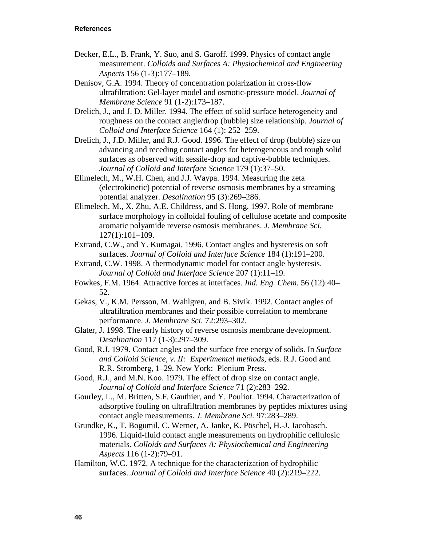- Decker, E.L., B. Frank, Y. Suo, and S. Garoff. 1999. Physics of contact angle measurement. *Colloids and Surfaces A: Physiochemical and Engineering Aspects* 156 (1-3):177–189.
- Denisov, G.A. 1994. Theory of concentration polarization in cross-flow ultrafiltration: Gel-layer model and osmotic-pressure model. *Journal of Membrane Science* 91 (1-2):173–187.
- Drelich, J., and J. D. Miller. 1994. The effect of solid surface heterogeneity and roughness on the contact angle/drop (bubble) size relationship. *Journal of Colloid and Interface Science* 164 (1): 252–259.
- Drelich, J., J.D. Miller, and R.J. Good. 1996. The effect of drop (bubble) size on advancing and receding contact angles for heterogeneous and rough solid surfaces as observed with sessile-drop and captive-bubble techniques. *Journal of Colloid and Interface Science* 179 (1):37–50.
- Elimelech, M., W.H. Chen, and J.J. Waypa. 1994. Measuring the zeta (electrokinetic) potential of reverse osmosis membranes by a streaming potential analyzer. *Desalination* 95 (3):269–286.
- Elimelech, M., X. Zhu, A.E. Childress, and S. Hong. 1997. Role of membrane surface morphology in colloidal fouling of cellulose acetate and composite aromatic polyamide reverse osmosis membranes. *J. Membrane Sci.* 127(1):101–109.
- Extrand, C.W., and Y. Kumagai. 1996. Contact angles and hysteresis on soft surfaces. *Journal of Colloid and Interface Science* 184 (1):191–200.
- Extrand, C.W. 1998. A thermodynamic model for contact angle hysteresis. *Journal of Colloid and Interface Science* 207 (1):11–19.
- Fowkes, F.M. 1964. Attractive forces at interfaces. *Ind. Eng. Chem.* 56 (12):40– 52.
- Gekas, V., K.M. Persson, M. Wahlgren, and B. Sivik. 1992. Contact angles of ultrafiltration membranes and their possible correlation to membrane performance. *J. Membrane Sci.* 72:293–302.
- Glater, J. 1998. The early history of reverse osmosis membrane development. *Desalination* 117 (1-3):297–309.
- Good, R.J. 1979. Contact angles and the surface free energy of solids. In *Surface and Colloid Science, v. II: Experimental methods*, eds. R.J. Good and R.R. Stromberg, 1–29. New York: Plenium Press.
- Good, R.J., and M.N. Koo. 1979. The effect of drop size on contact angle. *Journal of Colloid and Interface Science* 71 (2):283–292.
- Gourley, L., M. Britten, S.F. Gauthier, and Y. Pouliot. 1994. Characterization of adsorptive fouling on ultrafiltration membranes by peptides mixtures using contact angle measurements. *J. Membrane Sci.* 97:283–289.
- Grundke, K., T. Bogumil, C. Werner, A. Janke, K. Pöschel, H.-J. Jacobasch. 1996. Liquid-fluid contact angle measurements on hydrophilic cellulosic materials. *Colloids and Surfaces A: Physiochemical and Engineering Aspects* 116 (1-2):79–91.
- Hamilton, W.C. 1972. A technique for the characterization of hydrophilic surfaces. *Journal of Colloid and Interface Science* 40 (2):219–222.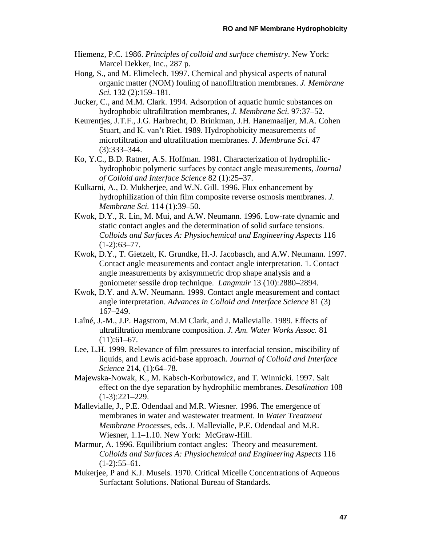- Hiemenz, P.C. 1986. *Principles of colloid and surface chemistry*. New York: Marcel Dekker, Inc., 287 p.
- Hong, S., and M. Elimelech. 1997. Chemical and physical aspects of natural organic matter (NOM) fouling of nanofiltration membranes. *J. Membrane Sci.* 132 (2):159–181.
- Jucker, C., and M.M. Clark. 1994. Adsorption of aquatic humic substances on hydrophobic ultrafiltration membranes, *J. Membrane Sci.* 97:37–52.
- Keurentjes, J.T.F., J.G. Harbrecht, D. Brinkman, J.H. Hanemaaijer, M.A. Cohen Stuart, and K. van't Riet. 1989. Hydrophobicity measurements of microfiltration and ultrafiltration membranes. *J. Membrane Sci.* 47 (3):333–344.
- Ko, Y.C., B.D. Ratner, A.S. Hoffman. 1981. Characterization of hydrophilichydrophobic polymeric surfaces by contact angle measurements, *Journal of Colloid and Interface Science* 82 (1):25–37.
- Kulkarni, A., D. Mukherjee, and W.N. Gill. 1996. Flux enhancement by hydrophilization of thin film composite reverse osmosis membranes. *J. Membrane Sci.* 114 (1):39–50.
- Kwok, D.Y., R. Lin, M. Mui, and A.W. Neumann. 1996. Low-rate dynamic and static contact angles and the determination of solid surface tensions. *Colloids and Surfaces A: Physiochemical and Engineering Aspects* 116  $(1-2):63-77.$
- Kwok, D.Y., T. Gietzelt, K. Grundke, H.-J. Jacobasch, and A.W. Neumann. 1997. Contact angle measurements and contact angle interpretation. 1. Contact angle measurements by axisymmetric drop shape analysis and a goniometer sessile drop technique. *Langmuir* 13 (10):2880–2894.
- Kwok, D.Y. and A.W. Neumann. 1999. Contact angle measurement and contact angle interpretation. *Advances in Colloid and Interface Science* 81 (3) 167–249.
- Laîné, J.-M., J.P. Hagstrom, M.M Clark, and J. Mallevialle. 1989. Effects of ultrafiltration membrane composition. *J. Am. Water Works Assoc.* 81  $(11):61-67.$
- Lee, L.H. 1999. Relevance of film pressures to interfacial tension, miscibility of liquids, and Lewis acid-base approach. *Journal of Colloid and Interface Science* 214, (1):64–78.
- Majewska-Nowak, K., M. Kabsch-Korbutowicz, and T. Winnicki. 1997. Salt effect on the dye separation by hydrophilic membranes. *Desalination* 108 (1-3):221–229.
- Mallevialle, J., P.E. Odendaal and M.R. Wiesner. 1996. The emergence of membranes in water and wastewater treatment. In *Water Treatment Membrane Processes*, eds. J. Mallevialle, P.E. Odendaal and M.R. Wiesner, 1.1–1.10. New York: McGraw-Hill.
- Marmur, A. 1996. Equilibrium contact angles: Theory and measurement. *Colloids and Surfaces A: Physiochemical and Engineering Aspects* 116  $(1-2):55-61.$
- Mukerjee, P and K.J. Musels. 1970. [Critical Micelle Concentrations of](javascript:void(0)) Aqueous [Surfactant Solutions.](javascript:void(0)) National Bureau of Standards.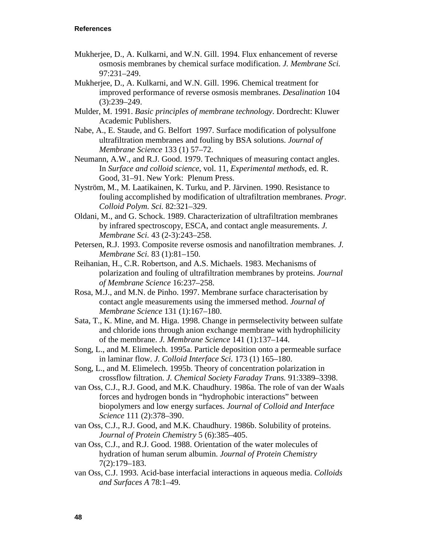- Mukherjee, D., A. Kulkarni, and W.N. Gill. 1994. Flux enhancement of reverse osmosis membranes by chemical surface modification. *J. Membrane Sci.* 97:231–249.
- Mukherjee, D., A. Kulkarni, and W.N. Gill. 1996. Chemical treatment for improved performance of reverse osmosis membranes. *Desalination* 104 (3):239–249.
- Mulder, M. 1991. *Basic principles of membrane technology*. Dordrecht: Kluwer Academic Publishers.
- Nabe, A., E. Staude, and G. Belfort 1997. Surface modification of polysulfone ultrafiltration membranes and fouling by BSA solutions. *Journal of Membrane Science* 133 (1) 57–72.
- Neumann, A.W., and R.J. Good. 1979. Techniques of measuring contact angles. In *Surface and colloid science*, vol. 11, *Experimental methods*, ed. R. Good, 31–91. New York: Plenum Press.
- Nyström, M., M. Laatikainen, K. Turku, and P. Järvinen. 1990. Resistance to fouling accomplished by modification of ultrafiltration membranes. *Progr. Colloid Polym. Sci.* 82:321–329.
- Oldani, M., and G. Schock. 1989. Characterization of ultrafiltration membranes by infrared spectroscopy, ESCA, and contact angle measurements. *J. Membrane Sci.* 43 (2-3):243–258.
- Petersen, R.J. 1993. Composite reverse osmosis and nanofiltration membranes. *J. Membrane Sci.* 83 (1):81–150.
- Reihanian, H., C.R. Robertson, and A.S. Michaels. 1983. Mechanisms of polarization and fouling of ultrafiltration membranes by proteins. *Journal of Membrane Science* 16:237–258.
- Rosa, M.J., and M.N. de Pinho. 1997. Membrane surface characterisation by contact angle measurements using the immersed method. *Journal of Membrane Science* 131 (1):167–180.
- Sata, T., K. Mine, and M. Higa. 1998. Change in permselectivity between sulfate and chloride ions through anion exchange membrane with hydrophilicity of the membrane. *J. Membrane Science* 141 (1):137–144.
- Song, L., and M. Elimelech. 1995a. Particle deposition onto a permeable surface in laminar flow. *J. Colloid Interface Sci.* 173 (1) 165–180.
- Song, L., and M. Elimelech. 1995b. Theory of concentration polarization in crossflow filtration. *J. Chemical Society Faraday Trans.* 91:3389–3398.
- van Oss, C.J., R.J. Good, and M.K. Chaudhury. 1986a. The role of van der Waals forces and hydrogen bonds in "hydrophobic interactions" between biopolymers and low energy surfaces. *Journal of Colloid and Interface Science* 111 (2):378–390.
- van Oss, C.J., R.J. Good, and M.K. Chaudhury. 1986b. Solubility of proteins. *Journal of Protein Chemistry* 5 (6):385–405.
- van Oss, C.J., and R.J. Good. 1988. Orientation of the water molecules of hydration of human serum albumin. *Journal of Protein Chemistry* 7(2):179–183.
- van Oss, C.J. 1993. Acid-base interfacial interactions in aqueous media. *Colloids and Surfaces A* 78:1–49.